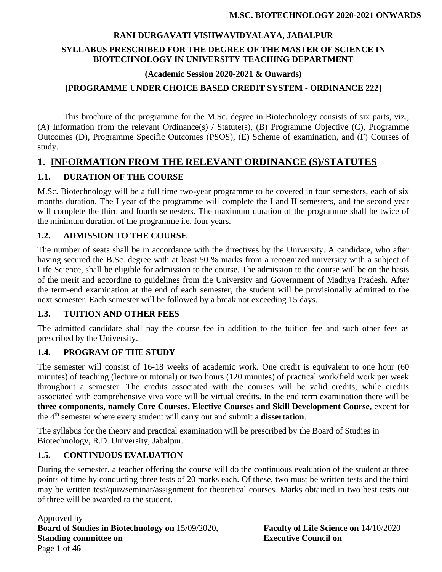## **RANI DURGAVATI VISHWAVIDYALAYA, JABALPUR SYLLABUS PRESCRIBED FOR THE DEGREE OF THE MASTER OF SCIENCE IN BIOTECHNOLOGY IN UNIVERSITY TEACHING DEPARTMENT**

**(Academic Session 2020-2021 & Onwards)**

### **[PROGRAMME UNDER CHOICE BASED CREDIT SYSTEM - ORDINANCE 222]**

This brochure of the programme for the M.Sc. degree in Biotechnology consists of six parts, viz., (A) Information from the relevant Ordinance(s) / Statute(s), (B) Programme Objective (C), Programme Outcomes (D), Programme Specific Outcomes (PSOS), (E) Scheme of examination, and (F) Courses of study.

## **1. INFORMATION FROM THE RELEVANT ORDINANCE (S)/STATUTES**

### **1.1. DURATION OF THE COURSE**

M.Sc. Biotechnology will be a full time two-year programme to be covered in four semesters, each of six months duration. The I year of the programme will complete the I and II semesters, and the second year will complete the third and fourth semesters. The maximum duration of the programme shall be twice of the minimum duration of the programme i.e. four years.

### **1.2. ADMISSION TO THE COURSE**

The number of seats shall be in accordance with the directives by the University. A candidate, who after having secured the B.Sc. degree with at least 50 % marks from a recognized university with a subject of Life Science, shall be eligible for admission to the course. The admission to the course will be on the basis of the merit and according to guidelines from the University and Government of Madhya Pradesh. After the term-end examination at the end of each semester, the student will be provisionally admitted to the next semester. Each semester will be followed by a break not exceeding 15 days.

### **1.3. TUITION AND OTHER FEES**

The admitted candidate shall pay the course fee in addition to the tuition fee and such other fees as prescribed by the University.

### **1.4. PROGRAM OF THE STUDY**

The semester will consist of 16-18 weeks of academic work. One credit is equivalent to one hour (60 minutes) of teaching (lecture or tutorial) or two hours (120 minutes) of practical work/field work per week throughout a semester. The credits associated with the courses will be valid credits, while credits associated with comprehensive viva voce will be virtual credits. In the end term examination there will be **three components, namely Core Courses, Elective Courses and Skill Development Course,** except for the 4th semester where every student will carry out and submit a **dissertation**.

The syllabus for the theory and practical examination will be prescribed by the Board of Studies in Biotechnology, R.D. University, Jabalpur.

### **1.5. CONTINUOUS EVALUATION**

During the semester, a teacher offering the course will do the continuous evaluation of the student at three points of time by conducting three tests of 20 marks each. Of these, two must be written tests and the third may be written test/quiz/seminar/assignment for theoretical courses. Marks obtained in two best tests out of three will be awarded to the student.

Approved by **Board of Studies in Biotechnology on** 15/09/2020, **Faculty of Life Science on** 14/10/2020 **Standing committee on Executive Council on** Page **1** of **46**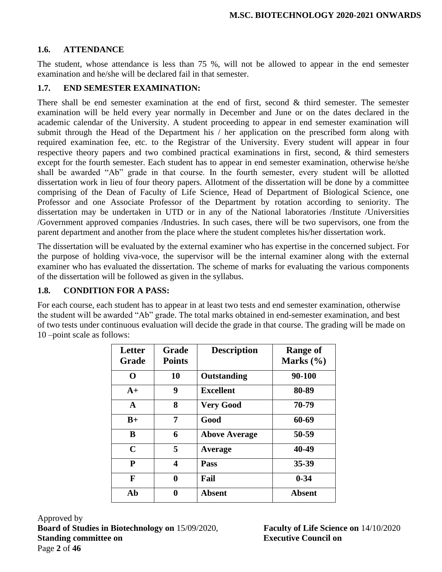### **1.6. ATTENDANCE**

The student, whose attendance is less than 75 %, will not be allowed to appear in the end semester examination and he/she will be declared fail in that semester.

### **1.7. END SEMESTER EXAMINATION:**

There shall be end semester examination at the end of first, second  $\&$  third semester. The semester examination will be held every year normally in December and June or on the dates declared in the academic calendar of the University. A student proceeding to appear in end semester examination will submit through the Head of the Department his / her application on the prescribed form along with required examination fee, etc. to the Registrar of the University. Every student will appear in four respective theory papers and two combined practical examinations in first, second, & third semesters except for the fourth semester. Each student has to appear in end semester examination, otherwise he/she shall be awarded "Ab" grade in that course. In the fourth semester, every student will be allotted dissertation work in lieu of four theory papers. Allotment of the dissertation will be done by a committee comprising of the Dean of Faculty of Life Science, Head of Department of Biological Science, one Professor and one Associate Professor of the Department by rotation according to seniority. The dissertation may be undertaken in UTD or in any of the National laboratories /Institute /Universities /Government approved companies /Industries. In such cases, there will be two supervisors, one from the parent department and another from the place where the student completes his/her dissertation work.

The dissertation will be evaluated by the external examiner who has expertise in the concerned subject. For the purpose of holding viva-voce, the supervisor will be the internal examiner along with the external examiner who has evaluated the dissertation. The scheme of marks for evaluating the various components of the dissertation will be followed as given in the syllabus.

### **1.8. CONDITION FOR A PASS:**

For each course, each student has to appear in at least two tests and end semester examination, otherwise the student will be awarded "Ab" grade. The total marks obtained in end-semester examination, and best of two tests under continuous evaluation will decide the grade in that course. The grading will be made on 10 –point scale as follows:

| Letter<br>Grade | <b>Grade</b><br><b>Points</b> | <b>Description</b>   | <b>Range of</b><br>Marks $(\% )$ |
|-----------------|-------------------------------|----------------------|----------------------------------|
| ∩               | 10                            | <b>Outstanding</b>   | 90-100                           |
| $A+$            | 9                             | <b>Excellent</b>     | 80-89                            |
| A               | 8                             | <b>Very Good</b>     | 70-79                            |
| $B+$            | 7                             | Good                 | 60-69                            |
| B               | 6                             | <b>Above Average</b> | 50-59                            |
| $\mathbf C$     | 5                             | Average              | 40-49                            |
| $\mathbf{P}$    | 4                             | Pass                 | 35-39                            |
| F               | 0                             | Fail                 | $0 - 34$                         |
| Ab              | 0                             | <b>Absent</b>        | <b>Absent</b>                    |

Approved by **Board of Studies in Biotechnology on** 15/09/2020, **Faculty of Life Science on** 14/10/2020 **Standing committee on Executive Council on** Page **2** of **46**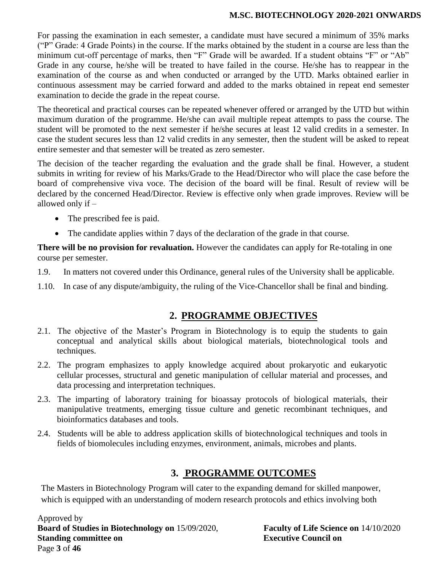For passing the examination in each semester, a candidate must have secured a minimum of 35% marks ("P" Grade: 4 Grade Points) in the course. If the marks obtained by the student in a course are less than the minimum cut-off percentage of marks, then "F" Grade will be awarded. If a student obtains "F" or "Ab" Grade in any course, he/she will be treated to have failed in the course. He/she has to reappear in the examination of the course as and when conducted or arranged by the UTD. Marks obtained earlier in continuous assessment may be carried forward and added to the marks obtained in repeat end semester examination to decide the grade in the repeat course.

The theoretical and practical courses can be repeated whenever offered or arranged by the UTD but within maximum duration of the programme. He/she can avail multiple repeat attempts to pass the course. The student will be promoted to the next semester if he/she secures at least 12 valid credits in a semester. In case the student secures less than 12 valid credits in any semester, then the student will be asked to repeat entire semester and that semester will be treated as zero semester.

The decision of the teacher regarding the evaluation and the grade shall be final. However, a student submits in writing for review of his Marks/Grade to the Head/Director who will place the case before the board of comprehensive viva voce. The decision of the board will be final. Result of review will be declared by the concerned Head/Director. Review is effective only when grade improves. Review will be allowed only if –

- The prescribed fee is paid.
- The candidate applies within 7 days of the declaration of the grade in that course.

**There will be no provision for revaluation.** However the candidates can apply for Re-totaling in one course per semester.

- 1.9. In matters not covered under this Ordinance, general rules of the University shall be applicable.
- 1.10. In case of any dispute/ambiguity, the ruling of the Vice-Chancellor shall be final and binding.

## **2. PROGRAMME OBJECTIVES**

- 2.1. The objective of the Master's Program in Biotechnology is to equip the students to gain conceptual and analytical skills about biological materials, biotechnological tools and techniques.
- 2.2. The program emphasizes to apply knowledge acquired about prokaryotic and eukaryotic cellular processes, structural and genetic manipulation of cellular material and processes, and data processing and interpretation techniques.
- 2.3. The imparting of laboratory training for bioassay protocols of biological materials, their manipulative treatments, emerging tissue culture and genetic recombinant techniques, and bioinformatics databases and tools.
- 2.4. Students will be able to address application skills of biotechnological techniques and tools in fields of biomolecules including enzymes, environment, animals, microbes and plants.

## **3. PROGRAMME OUTCOMES**

The Masters in Biotechnology Program will cater to the expanding demand for skilled manpower, which is equipped with an understanding of modern research protocols and ethics involving both

Approved by **Board of Studies in Biotechnology on** 15/09/2020, **Faculty of Life Science on** 14/10/2020 **Standing committee on** <br>**Executive Council on** Page **3** of **46**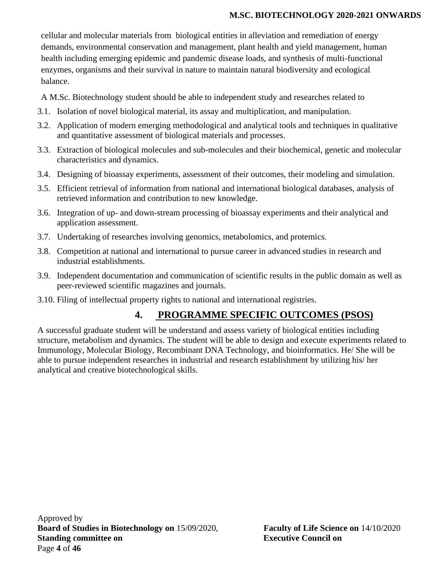cellular and molecular materials from biological entities in alleviation and remediation of energy demands, environmental conservation and management, plant health and yield management, human health including emerging epidemic and pandemic disease loads, and synthesis of multi-functional enzymes, organisms and their survival in nature to maintain natural biodiversity and ecological balance.

A M.Sc. Biotechnology student should be able to independent study and researches related to

- 3.1. Isolation of novel biological material, its assay and multiplication, and manipulation.
- 3.2. Application of modern emerging methodological and analytical tools and techniques in qualitative and quantitative assessment of biological materials and processes.
- 3.3. Extraction of biological molecules and sub-molecules and their biochemical, genetic and molecular characteristics and dynamics.
- 3.4. Designing of bioassay experiments, assessment of their outcomes, their modeling and simulation.
- 3.5. Efficient retrieval of information from national and international biological databases, analysis of retrieved information and contribution to new knowledge.
- 3.6. Integration of up- and down-stream processing of bioassay experiments and their analytical and application assessment.
- 3.7. Undertaking of researches involving genomics, metabolomics, and protemics.
- 3.8. Competition at national and international to pursue career in advanced studies in research and industrial establishments.
- 3.9. Independent documentation and communication of scientific results in the public domain as well as peer-reviewed scientific magazines and journals.
- 3.10. Filing of intellectual property rights to national and international registries.

# **4. PROGRAMME SPECIFIC OUTCOMES (PSOS)**

A successful graduate student will be understand and assess variety of biological entities including structure, metabolism and dynamics. The student will be able to design and execute experiments related to Immunology, Molecular Biology, Recombinant DNA Technology, and bioinformatics. He/ She will be able to pursue independent researches in industrial and research establishment by utilizing his/ her analytical and creative biotechnological skills.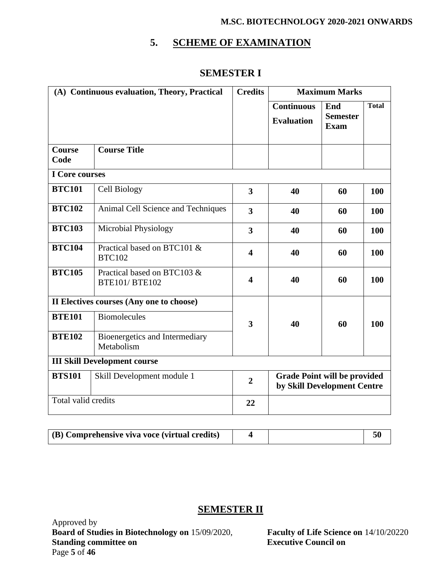## **5. SCHEME OF EXAMINATION**

## **SEMESTER I**

| (A) Continuous evaluation, Theory, Practical |                                                      | <b>Credits</b>          | <b>Maximum Marks</b>                                               |                                       |              |
|----------------------------------------------|------------------------------------------------------|-------------------------|--------------------------------------------------------------------|---------------------------------------|--------------|
|                                              |                                                      |                         | <b>Continuous</b><br><b>Evaluation</b>                             | End<br><b>Semester</b><br><b>Exam</b> | <b>Total</b> |
| <b>Course</b><br>Code                        | <b>Course Title</b>                                  |                         |                                                                    |                                       |              |
| <b>I</b> Core courses                        |                                                      |                         |                                                                    |                                       |              |
| <b>BTC101</b>                                | Cell Biology                                         | 3                       | 40                                                                 | 60                                    | 100          |
| <b>BTC102</b>                                | Animal Cell Science and Techniques                   | 3                       | 40                                                                 | 60                                    | 100          |
| <b>BTC103</b>                                | <b>Microbial Physiology</b>                          | 3                       | 40                                                                 | 60                                    | 100          |
| <b>BTC104</b>                                | Practical based on BTC101 &<br><b>BTC102</b>         | $\overline{\mathbf{4}}$ | 40                                                                 | 60                                    | 100          |
| <b>BTC105</b>                                | Practical based on BTC103 &<br><b>BTE101/ BTE102</b> | $\overline{\mathbf{4}}$ | 40                                                                 | 60                                    | 100          |
|                                              | II Electives courses (Any one to choose)             |                         |                                                                    |                                       |              |
| <b>BTE101</b>                                | <b>Biomolecules</b>                                  | 3                       | 40                                                                 | 60                                    | 100          |
| <b>BTE102</b>                                | Bioenergetics and Intermediary<br>Metabolism         |                         |                                                                    |                                       |              |
|                                              | <b>III Skill Development course</b>                  |                         |                                                                    |                                       |              |
| <b>BTS101</b>                                | Skill Development module 1                           | $\overline{2}$          | <b>Grade Point will be provided</b><br>by Skill Development Centre |                                       |              |
| Total valid credits                          |                                                      | 22                      |                                                                    |                                       |              |

| (B) Comprehensive viva voce (virtual credits) |  |  |  |
|-----------------------------------------------|--|--|--|
|-----------------------------------------------|--|--|--|

## **SEMESTER II**

Approved by **Board of Studies in Biotechnology on** 15/09/2020, **Faculty of Life Science on** 14/10/20220<br>**Standing committee on Executive Council on Standing committee on** Page **5** of **46**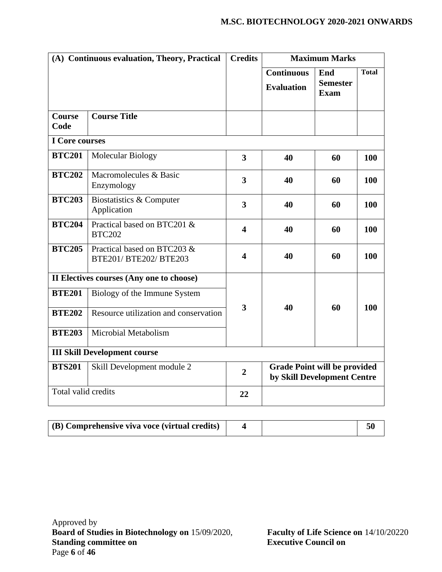|                       | (A) Continuous evaluation, Theory, Practical          | <b>Credits</b>          | <b>Maximum Marks</b>                                               |                                       |              |
|-----------------------|-------------------------------------------------------|-------------------------|--------------------------------------------------------------------|---------------------------------------|--------------|
|                       |                                                       |                         | <b>Continuous</b><br><b>Evaluation</b>                             | End<br><b>Semester</b><br><b>Exam</b> | <b>Total</b> |
| <b>Course</b><br>Code | <b>Course Title</b>                                   |                         |                                                                    |                                       |              |
| I Core courses        |                                                       |                         |                                                                    |                                       |              |
| <b>BTC201</b>         | Molecular Biology                                     | 3                       | 40                                                                 | 60                                    | <b>100</b>   |
| <b>BTC202</b>         | Macromolecules & Basic<br>Enzymology                  | 3                       | 40                                                                 | 60                                    | 100          |
| <b>BTC203</b>         | Biostatistics & Computer<br>Application               | $\overline{\mathbf{3}}$ | 40                                                                 | 60                                    | <b>100</b>   |
| <b>BTC204</b>         | Practical based on BTC201 &<br><b>BTC202</b>          | $\overline{\mathbf{4}}$ | 40                                                                 | 60                                    | 100          |
| <b>BTC205</b>         | Practical based on BTC203 &<br>BTE201/ BTE202/ BTE203 | $\overline{\mathbf{4}}$ | 40                                                                 | 60                                    | 100          |
|                       | II Electives courses (Any one to choose)              |                         |                                                                    |                                       |              |
| <b>BTE201</b>         | Biology of the Immune System                          |                         |                                                                    |                                       |              |
| <b>BTE202</b>         | Resource utilization and conservation                 | 3                       | 40                                                                 | 60                                    | 100          |
| <b>BTE203</b>         | Microbial Metabolism                                  |                         |                                                                    |                                       |              |
|                       | <b>III Skill Development course</b>                   |                         |                                                                    |                                       |              |
| <b>BTS201</b>         | Skill Development module 2                            | $\overline{2}$          | <b>Grade Point will be provided</b><br>by Skill Development Centre |                                       |              |
| Total valid credits   |                                                       | 22                      |                                                                    |                                       |              |

| (B) Comprehensive viva voce (virtual credits) |  |  |
|-----------------------------------------------|--|--|
|                                               |  |  |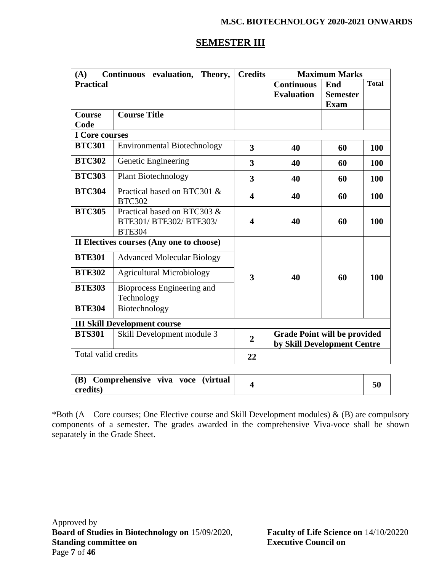| (A)                    | Continuous evaluation, Theory,                                          | <b>Credits</b>          |                                                                    | <b>Maximum Marks</b>                  |              |  |
|------------------------|-------------------------------------------------------------------------|-------------------------|--------------------------------------------------------------------|---------------------------------------|--------------|--|
| <b>Practical</b>       |                                                                         |                         | Continuous<br><b>Evaluation</b>                                    | End<br><b>Semester</b><br><b>Exam</b> | <b>Total</b> |  |
| <b>Course</b>          | <b>Course Title</b>                                                     |                         |                                                                    |                                       |              |  |
| Code                   |                                                                         |                         |                                                                    |                                       |              |  |
| I Core courses         |                                                                         |                         |                                                                    |                                       |              |  |
| <b>BTC301</b>          | <b>Environmental Biotechnology</b>                                      | 3                       | 40                                                                 | 60                                    | 100          |  |
| <b>BTC302</b>          | Genetic Engineering                                                     | 3                       | 40                                                                 | 60                                    | <b>100</b>   |  |
| <b>BTC303</b>          | <b>Plant Biotechnology</b>                                              | 3                       | 40                                                                 | 60                                    | 100          |  |
| <b>BTC304</b>          | Practical based on BTC301 &<br><b>BTC302</b>                            | $\overline{\mathbf{4}}$ | 40                                                                 | 60                                    | 100          |  |
| <b>BTC305</b>          | Practical based on BTC303 &<br>BTE301/ BTE302/ BTE303/<br><b>BTE304</b> | 4                       | 40                                                                 | 60                                    | 100          |  |
|                        | II Electives courses (Any one to choose)                                |                         |                                                                    |                                       |              |  |
| <b>BTE301</b>          | <b>Advanced Molecular Biology</b>                                       |                         |                                                                    |                                       |              |  |
| <b>BTE302</b>          | <b>Agricultural Microbiology</b>                                        | 3                       | 40                                                                 | 60                                    | 100          |  |
| <b>BTE303</b>          | Bioprocess Engineering and<br>Technology                                |                         |                                                                    |                                       |              |  |
| <b>BTE304</b>          | Biotechnology                                                           |                         |                                                                    |                                       |              |  |
|                        | <b>III Skill Development course</b>                                     |                         |                                                                    |                                       |              |  |
| <b>BTS301</b>          | Skill Development module 3                                              | $\overline{2}$          | <b>Grade Point will be provided</b><br>by Skill Development Centre |                                       |              |  |
| Total valid credits    |                                                                         | 22                      |                                                                    |                                       |              |  |
| <b>(B)</b><br>credits) | Comprehensive viva voce<br><i>(virtual)</i>                             | $\overline{\mathbf{4}}$ |                                                                    |                                       | 50           |  |

\*Both (A – Core courses; One Elective course and Skill Development modules)  $\&$  (B) are compulsory components of a semester. The grades awarded in the comprehensive Viva-voce shall be shown separately in the Grade Sheet.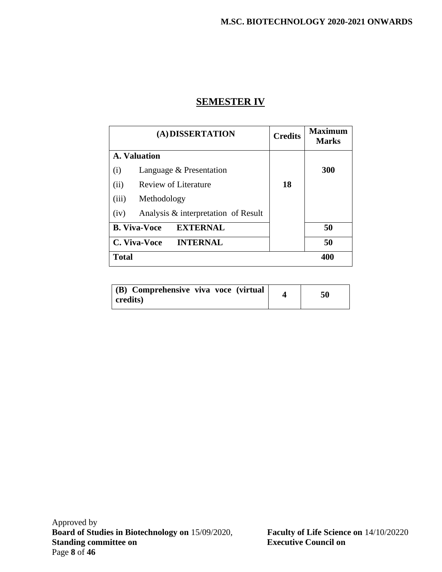### **SEMESTER IV**

| (A) DISSERTATION                            | <b>Credits</b> | <b>Maximum</b><br><b>Marks</b> |
|---------------------------------------------|----------------|--------------------------------|
| A. Valuation                                |                |                                |
| (i)<br>Language & Presentation              |                | <b>300</b>                     |
| Review of Literature<br>(ii)                | 18             |                                |
| (iii)<br>Methodology                        |                |                                |
| Analysis & interpretation of Result<br>(iv) |                |                                |
| <b>B. Viva-Voce</b><br><b>EXTERNAL</b>      |                | 50                             |
| <b>INTERNAL</b><br>C. Viva-Voce             |                | 50                             |
| <b>Total</b>                                |                | 400                            |

| (B) Comprehensive viva voce (virtual) | 50 |
|---------------------------------------|----|
| credits)                              |    |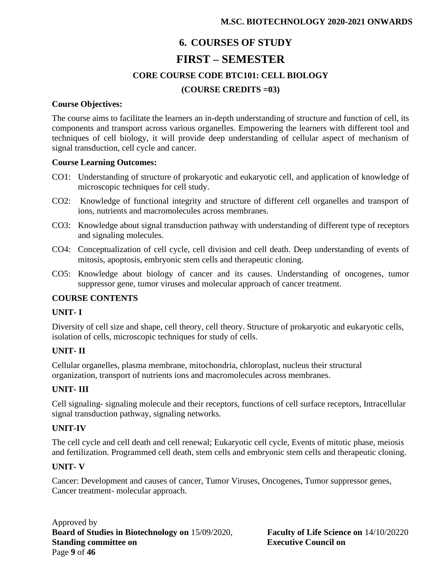# **6. COURSES OF STUDY FIRST – SEMESTER CORE COURSE CODE BTC101: CELL BIOLOGY (COURSE CREDITS =03)**

#### **Course Objectives:**

The course aims to facilitate the learners an in-depth understanding of structure and function of cell, its components and transport across various organelles. Empowering the learners with different tool and techniques of cell biology, it will provide deep understanding of cellular aspect of mechanism of signal transduction, cell cycle and cancer.

#### **Course Learning Outcomes:**

- CO1: Understanding of structure of prokaryotic and eukaryotic cell, and application of knowledge of microscopic techniques for cell study.
- CO2: Knowledge of functional integrity and structure of different cell organelles and transport of ions, nutrients and macromolecules across membranes.
- CO3: Knowledge about signal transduction pathway with understanding of different type of receptors and signaling molecules.
- CO4: Conceptualization of cell cycle, cell division and cell death. Deep understanding of events of mitosis, apoptosis, embryonic stem cells and therapeutic cloning.
- CO5: Knowledge about biology of cancer and its causes. Understanding of oncogenes, tumor suppressor gene, tumor viruses and molecular approach of cancer treatment.

### **COURSE CONTENTS**

### **UNIT- I**

Diversity of cell size and shape, cell theory, cell theory. Structure of prokaryotic and eukaryotic cells, isolation of cells, microscopic techniques for study of cells.

### **UNIT- II**

Cellular organelles, plasma membrane, mitochondria, chloroplast, nucleus their structural organization, transport of nutrients ions and macromolecules across membranes.

### **UNIT- III**

Cell signaling- signaling molecule and their receptors, functions of cell surface receptors, Intracellular signal transduction pathway, signaling networks.

### **UNIT-IV**

The cell cycle and cell death and cell renewal; Eukaryotic cell cycle, Events of mitotic phase, meiosis and fertilization. Programmed cell death, stem cells and embryonic stem cells and therapeutic cloning.

### **UNIT- V**

Cancer: Development and causes of cancer, Tumor Viruses, Oncogenes, Tumor suppressor genes, Cancer treatment- molecular approach.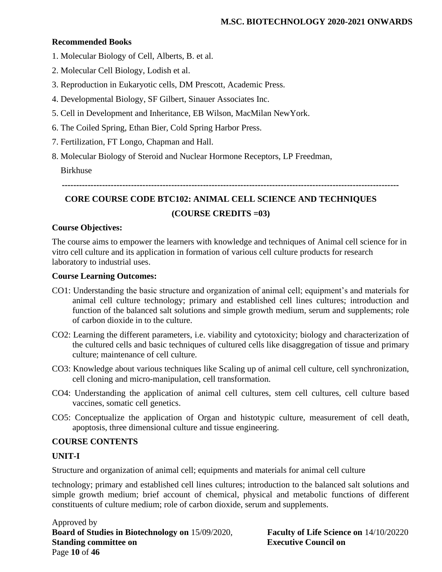### **Recommended Books**

- 1. Molecular Biology of Cell, Alberts, B. et al.
- 2. Molecular Cell Biology, Lodish et al.
- 3. Reproduction in Eukaryotic cells, DM Prescott, Academic Press.
- 4. Developmental Biology, SF Gilbert, Sinauer Associates Inc.
- 5. Cell in Development and Inheritance, EB Wilson, MacMilan NewYork.
- 6. The Coiled Spring, Ethan Bier, Cold Spring Harbor Press.
- 7. Fertilization, FT Longo, Chapman and Hall.
- 8. Molecular Biology of Steroid and Nuclear Hormone Receptors, LP Freedman,

Birkhuse

**---------------------------------------------------------------------------------------------------------------------**

# **CORE COURSE CODE BTC102: ANIMAL CELL SCIENCE AND TECHNIQUES (COURSE CREDITS =03)**

### **Course Objectives:**

The course aims to empower the learners with knowledge and techniques of Animal cell science for in vitro cell culture and its application in formation of various cell culture products for research laboratory to industrial uses.

### **Course Learning Outcomes:**

- CO1: Understanding the basic structure and organization of animal cell; equipment's and materials for animal cell culture technology; primary and established cell lines cultures; introduction and function of the balanced salt solutions and simple growth medium, serum and supplements; role of carbon dioxide in to the culture.
- CO2: Learning the different parameters, i.e. viability and cytotoxicity; biology and characterization of the cultured cells and basic techniques of cultured cells like disaggregation of tissue and primary culture; maintenance of cell culture.
- CO3: Knowledge about various techniques like Scaling up of animal cell culture, cell synchronization, cell cloning and micro-manipulation, cell transformation.
- CO4: Understanding the application of animal cell cultures, stem cell cultures, cell culture based vaccines, somatic cell genetics.
- CO5: Conceptualize the application of Organ and histotypic culture, measurement of cell death, apoptosis, three dimensional culture and tissue engineering.

### **COURSE CONTENTS**

### **UNIT-I**

Structure and organization of animal cell; equipments and materials for animal cell culture

technology; primary and established cell lines cultures; introduction to the balanced salt solutions and simple growth medium; brief account of chemical, physical and metabolic functions of different constituents of culture medium; role of carbon dioxide, serum and supplements.

Approved by **Board of Studies in Biotechnology on** 15/09/2020, **Faculty of Life Science on** 14/10/20220 **Standing committee on Executive Council on** Page **10** of **46**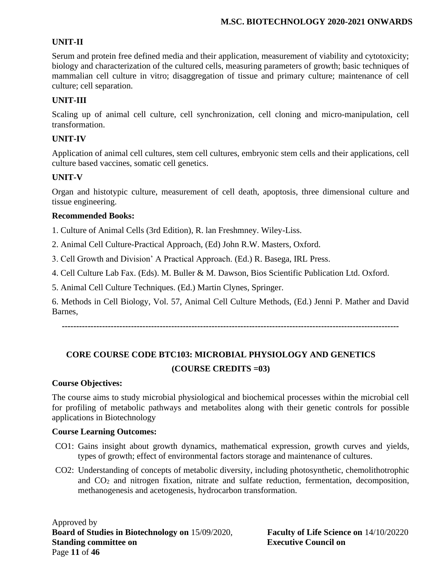### **UNIT-II**

Serum and protein free defined media and their application, measurement of viability and cytotoxicity; biology and characterization of the cultured cells, measuring parameters of growth; basic techniques of mammalian cell culture in vitro; disaggregation of tissue and primary culture; maintenance of cell culture; cell separation.

### **UNIT-III**

Scaling up of animal cell culture, cell synchronization, cell cloning and micro-manipulation, cell transformation.

### **UNIT-IV**

Application of animal cell cultures, stem cell cultures, embryonic stem cells and their applications, cell culture based vaccines, somatic cell genetics.

### **UNIT-V**

Organ and histotypic culture, measurement of cell death, apoptosis, three dimensional culture and tissue engineering.

### **Recommended Books:**

1. Culture of Animal Cells (3rd Edition), R. lan Freshmney. Wiley-Liss.

2. Animal Cell Culture-Practical Approach, (Ed) John R.W. Masters, Oxford.

3. Cell Growth and Division' A Practical Approach. (Ed.) R. Basega, IRL Press.

4. Cell Culture Lab Fax. (Eds). M. Buller & M. Dawson, Bios Scientific Publication Ltd. Oxford.

5. Animal Cell Culture Techniques. (Ed.) Martin Clynes, Springer.

6. Methods in Cell Biology, Vol. 57, Animal Cell Culture Methods, (Ed.) Jenni P. Mather and David Barnes,

**---------------------------------------------------------------------------------------------------------------------**

## **CORE COURSE CODE BTC103: MICROBIAL PHYSIOLOGY AND GENETICS (COURSE CREDITS =03)**

### **Course Objectives:**

The course aims to study microbial physiological and biochemical processes within the microbial cell for profiling of metabolic pathways and metabolites along with their genetic controls for possible applications in Biotechnology

### **Course Learning Outcomes:**

- CO1: Gains insight about growth dynamics, mathematical expression, growth curves and yields, types of growth; effect of environmental factors storage and maintenance of cultures.
- CO2: Understanding of concepts of metabolic diversity, including photosynthetic, chemolithotrophic and CO<sup>2</sup> and nitrogen fixation, nitrate and sulfate reduction, fermentation, decomposition, methanogenesis and acetogenesis, hydrocarbon transformation.

Approved by **Board of Studies in Biotechnology on** 15/09/2020, **Faculty of Life Science on** 14/10/20220 **Standing committee on Executive Council on** Page **11** of **46**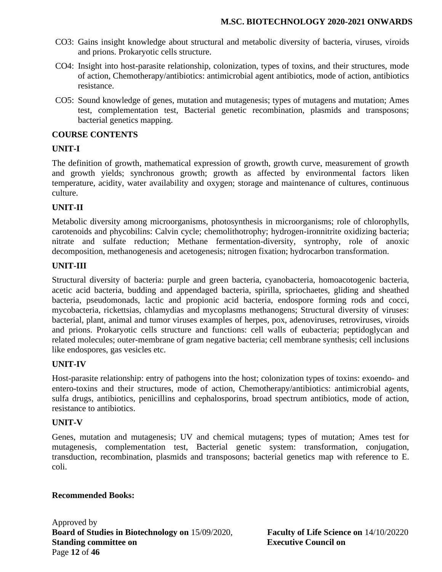- CO3: Gains insight knowledge about structural and metabolic diversity of bacteria, viruses, viroids and prions. Prokaryotic cells structure.
- CO4: Insight into host-parasite relationship, colonization, types of toxins, and their structures, mode of action, Chemotherapy/antibiotics: antimicrobial agent antibiotics, mode of action, antibiotics resistance.
- CO5: Sound knowledge of genes, mutation and mutagenesis; types of mutagens and mutation; Ames test, complementation test, Bacterial genetic recombination, plasmids and transposons; bacterial genetics mapping.

### **COURSE CONTENTS**

### **UNIT-I**

The definition of growth, mathematical expression of growth, growth curve, measurement of growth and growth yields; synchronous growth; growth as affected by environmental factors liken temperature, acidity, water availability and oxygen; storage and maintenance of cultures, continuous culture.

### **UNIT-II**

Metabolic diversity among microorganisms, photosynthesis in microorganisms; role of chlorophylls, carotenoids and phycobilins: Calvin cycle; chemolithotrophy; hydrogen-ironnitrite oxidizing bacteria; nitrate and sulfate reduction; Methane fermentation-diversity, syntrophy, role of anoxic decomposition, methanogenesis and acetogenesis; nitrogen fixation; hydrocarbon transformation.

### **UNIT-III**

Structural diversity of bacteria: purple and green bacteria, cyanobacteria, homoacotogenic bacteria, acetic acid bacteria, budding and appendaged bacteria, spirilla, spriochaetes, gliding and sheathed bacteria, pseudomonads, lactic and propionic acid bacteria, endospore forming rods and cocci, mycobacteria, rickettsias, chlamydias and mycoplasms methanogens; Structural diversity of viruses: bacterial, plant, animal and tumor viruses examples of herpes, pox, adenoviruses, retroviruses, viroids and prions. Prokaryotic cells structure and functions: cell walls of eubacteria; peptidoglycan and related molecules; outer-membrane of gram negative bacteria; cell membrane synthesis; cell inclusions like endospores, gas vesicles etc.

### **UNIT-IV**

Host-parasite relationship: entry of pathogens into the host; colonization types of toxins: exoendo- and entero-toxins and their structures, mode of action, Chemotherapy/antibiotics: antimicrobial agents, sulfa drugs, antibiotics, penicillins and cephalosporins, broad spectrum antibiotics, mode of action, resistance to antibiotics.

### **UNIT-V**

Genes, mutation and mutagenesis; UV and chemical mutagens; types of mutation; Ames test for mutagenesis, complementation test, Bacterial genetic system: transformation, conjugation, transduction, recombination, plasmids and transposons; bacterial genetics map with reference to E. coli.

#### **Recommended Books:**

Approved by **Board of Studies in Biotechnology on** 15/09/2020, **Faculty of Life Science on** 14/10/20220 **Standing committee on Executive Council on** Page **12** of **46**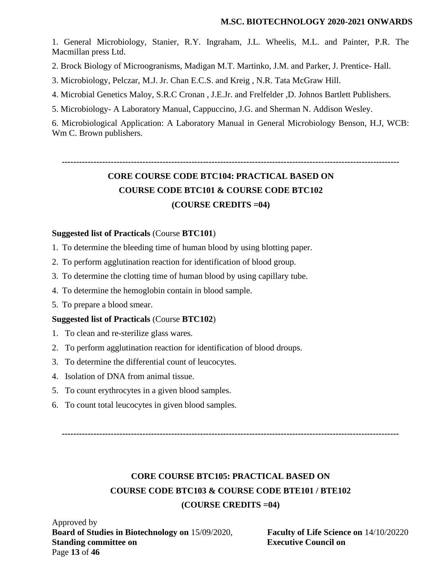1. General Microbiology, Stanier, R.Y. Ingraham, J.L. Wheelis, M.L. and Painter, P.R. The Macmillan press Ltd.

2. Brock Biology of Microogranisms, Madigan M.T. Martinko, J.M. and Parker, J. Prentice- Hall.

3. Microbiology, Pelczar, M.J. Jr. Chan E.C.S. and Kreig , N.R. Tata McGraw Hill.

4. Microbial Genetics Maloy, S.R.C Cronan , J.E.Jr. and Frelfelder ,D. Johnos Bartlett Publishers.

5. Microbiology- A Laboratory Manual, Cappuccino, J.G. and Sherman N. Addison Wesley.

6. Microbiological Application: A Laboratory Manual in General Microbiology Benson, H.J, WCB: Wm C. Brown publishers.

**--------------------------------------------------------------------------------------------------------------------- CORE COURSE CODE BTC104: PRACTICAL BASED ON COURSE CODE BTC101 & COURSE CODE BTC102 (COURSE CREDITS =04)**

### **Suggested list of Practicals** (Course **BTC101**)

- 1. To determine the bleeding time of human blood by using blotting paper.
- 2. To perform agglutination reaction for identification of blood group.
- 3. To determine the clotting time of human blood by using capillary tube.
- 4. To determine the hemoglobin contain in blood sample.
- 5. To prepare a blood smear.

### **Suggested list of Practicals** (Course **BTC102**)

- 1. To clean and re-sterilize glass wares.
- 2. To perform agglutination reaction for identification of blood droups.
- 3. To determine the differential count of leucocytes.
- 4. Isolation of DNA from animal tissue.
- 5. To count erythrocytes in a given blood samples.
- 6. To count total leucocytes in given blood samples.

**---------------------------------------------------------------------------------------------------------------------**

# **CORE COURSE BTC105: PRACTICAL BASED ON COURSE CODE BTC103 & COURSE CODE BTE101 / BTE102 (COURSE CREDITS =04)**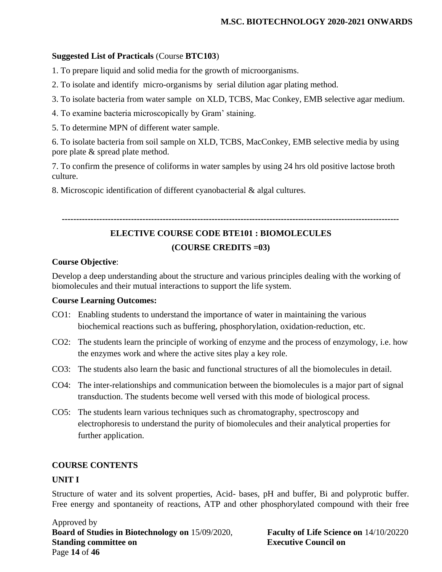### **Suggested List of Practicals** (Course **BTC103**)

1. To prepare liquid and solid media for the growth of microorganisms.

- 2. To isolate and identify micro-organisms by serial dilution agar plating method.
- 3. To isolate bacteria from water sample on XLD, TCBS, Mac Conkey, EMB selective agar medium.
- 4. To examine bacteria microscopically by Gram' staining.
- 5. To determine MPN of different water sample.

6. To isolate bacteria from soil sample on XLD, TCBS, MacConkey, EMB selective media by using pore plate & spread plate method.

7. To confirm the presence of coliforms in water samples by using 24 hrs old positive lactose broth culture.

8. Microscopic identification of different cyanobacterial & algal cultures.

#### **---------------------------------------------------------------------------------------------------------------------**

### **ELECTIVE COURSE CODE BTE101 : BIOMOLECULES**

### **(COURSE CREDITS =03)**

### **Course Objective**:

Develop a deep understanding about the structure and various principles dealing with the working of biomolecules and their mutual interactions to support the life system.

### **Course Learning Outcomes:**

- CO1: Enabling students to understand the importance of water in maintaining the various biochemical reactions such as buffering, phosphorylation, oxidation-reduction, etc.
- CO2: The students learn the principle of working of enzyme and the process of enzymology, i.e. how the enzymes work and where the active sites play a key role.
- CO3: The students also learn the basic and functional structures of all the biomolecules in detail.
- CO4: The inter-relationships and communication between the biomolecules is a major part of signal transduction. The students become well versed with this mode of biological process.
- CO5: The students learn various techniques such as chromatography, spectroscopy and electrophoresis to understand the purity of biomolecules and their analytical properties for further application.

### **COURSE CONTENTS**

### **UNIT I**

Structure of water and its solvent properties, Acid- bases, pH and buffer, Bi and polyprotic buffer. Free energy and spontaneity of reactions, ATP and other phosphorylated compound with their free

Approved by **Board of Studies in Biotechnology on** 15/09/2020, **Faculty of Life Science on** 14/10/20220 **Standing committee on Executive Council on** Page **14** of **46**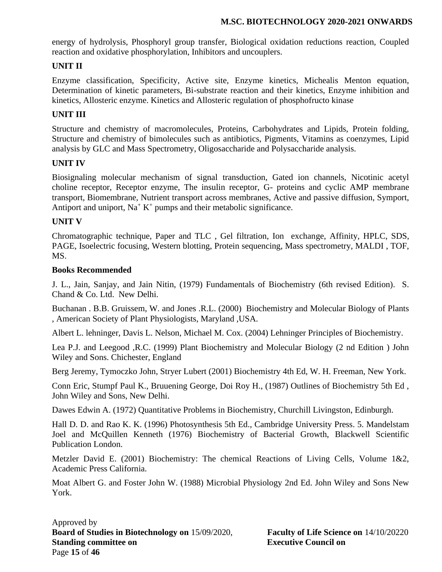energy of hydrolysis, Phosphoryl group transfer, Biological oxidation reductions reaction, Coupled reaction and oxidative phosphorylation, Inhibitors and uncouplers.

### **UNIT II**

Enzyme classification, Specificity, Active site, Enzyme kinetics, Michealis Menton equation, Determination of kinetic parameters, Bi-substrate reaction and their kinetics, Enzyme inhibition and kinetics, Allosteric enzyme. Kinetics and Allosteric regulation of phosphofructo kinase

### **UNIT III**

Structure and chemistry of macromolecules, Proteins, Carbohydrates and Lipids, Protein folding, Structure and chemistry of bimolecules such as antibiotics, Pigments, Vitamins as coenzymes, Lipid analysis by GLC and Mass Spectrometry, Oligosaccharide and Polysaccharide analysis.

### **UNIT IV**

Biosignaling molecular mechanism of signal transduction, Gated ion channels, Nicotinic acetyl choline receptor, Receptor enzyme, The insulin receptor, G- proteins and cyclic AMP membrane transport, Biomembrane, Nutrient transport across membranes, Active and passive diffusion, Symport, Antiport and uniport,  $Na^+ K^+$  pumps and their metabolic significance.

### **UNIT V**

Chromatographic technique, Paper and TLC , Gel filtration, Ion exchange, Affinity, HPLC, SDS, PAGE, Isoelectric focusing, Western blotting, Protein sequencing, Mass spectrometry, MALDI , TOF, MS.

#### **Books Recommended**

J. L., Jain, Sanjay, and Jain Nitin, (1979) Fundamentals of Biochemistry (6th revised Edition). S. Chand & Co. Ltd. New Delhi.

Buchanan . B.B. Gruissem, W. and Jones .R.L. (2000) Biochemistry and Molecular Biology of Plants , American Society of Plant Physiologists, Maryland ,USA.

Albert L. lehninger, Davis L. Nelson, Michael M. Cox. (2004) Lehninger Principles of Biochemistry.

Lea P.J. and Leegood ,R.C. (1999) Plant Biochemistry and Molecular Biology (2 nd Edition ) John Wiley and Sons. Chichester, England

Berg Jeremy, Tymoczko John, Stryer Lubert (2001) Biochemistry 4th Ed, W. H. Freeman, New York.

Conn Eric, Stumpf Paul K., Bruuening George, Doi Roy H., (1987) Outlines of Biochemistry 5th Ed , John Wiley and Sons, New Delhi.

Dawes Edwin A. (1972) Quantitative Problems in Biochemistry, Churchill Livingston, Edinburgh.

Hall D. D. and Rao K. K. (1996) Photosynthesis 5th Ed., Cambridge University Press. 5. Mandelstam Joel and McQuillen Kenneth (1976) Biochemistry of Bacterial Growth, Blackwell Scientific Publication London.

Metzler David E. (2001) Biochemistry: The chemical Reactions of Living Cells, Volume 1&2, Academic Press California.

Moat Albert G. and Foster John W. (1988) Microbial Physiology 2nd Ed. John Wiley and Sons New York.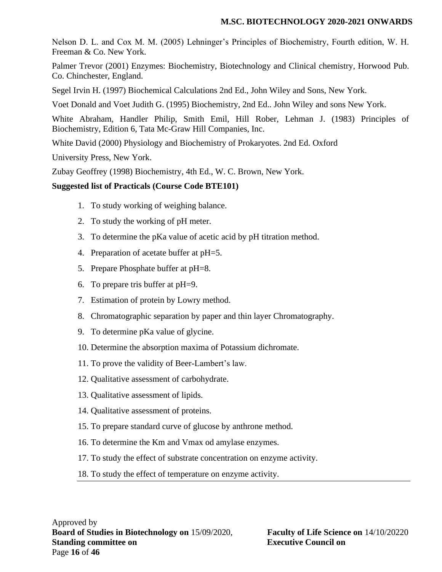Nelson D. L. and Cox M. M. (2005) Lehninger's Principles of Biochemistry, Fourth edition, W. H. Freeman & Co. New York.

Palmer Trevor (2001) Enzymes: Biochemistry, Biotechnology and Clinical chemistry, Horwood Pub. Co. Chinchester, England.

Segel Irvin H. (1997) Biochemical Calculations 2nd Ed., John Wiley and Sons, New York.

Voet Donald and Voet Judith G. (1995) Biochemistry, 2nd Ed.. John Wiley and sons New York.

White Abraham, Handler Philip, Smith Emil, Hill Rober, Lehman J. (1983) Principles of Biochemistry, Edition 6, Tata Mc-Graw Hill Companies, Inc.

White David (2000) Physiology and Biochemistry of Prokaryotes. 2nd Ed. Oxford

University Press, New York.

Zubay Geoffrey (1998) Biochemistry, 4th Ed., W. C. Brown, New York.

### **Suggested list of Practicals (Course Code BTE101)**

- 1. To study working of weighing balance.
- 2. To study the working of pH meter.
- 3. To determine the pKa value of acetic acid by pH titration method.
- 4. Preparation of acetate buffer at pH=5.
- 5. Prepare Phosphate buffer at pH=8.
- 6. To prepare tris buffer at pH=9.
- 7. Estimation of protein by Lowry method.
- 8. Chromatographic separation by paper and thin layer Chromatography.
- 9. To determine pKa value of glycine.
- 10. Determine the absorption maxima of Potassium dichromate.
- 11. To prove the validity of Beer-Lambert's law.
- 12. Qualitative assessment of carbohydrate.
- 13. Qualitative assessment of lipids.
- 14. Qualitative assessment of proteins.
- 15. To prepare standard curve of glucose by anthrone method.
- 16. To determine the Km and Vmax od amylase enzymes.
- 17. To study the effect of substrate concentration on enzyme activity.
- 18. To study the effect of temperature on enzyme activity.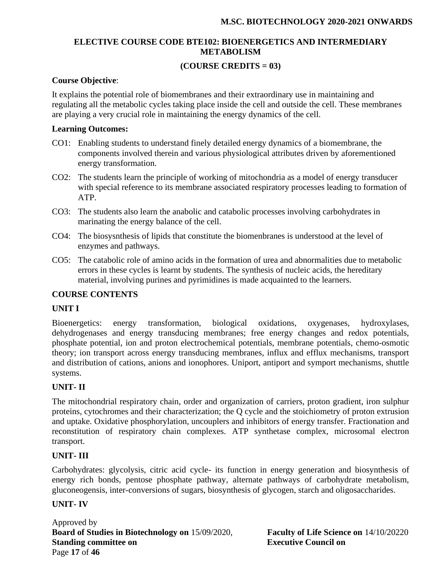### **ELECTIVE COURSE CODE BTE102: BIOENERGETICS AND INTERMEDIARY METABOLISM**

### **(COURSE CREDITS = 03)**

### **Course Objective**:

It explains the potential role of biomembranes and their extraordinary use in maintaining and regulating all the metabolic cycles taking place inside the cell and outside the cell. These membranes are playing a very crucial role in maintaining the energy dynamics of the cell.

### **Learning Outcomes:**

- CO1: Enabling students to understand finely detailed energy dynamics of a biomembrane, the components involved therein and various physiological attributes driven by aforementioned energy transformation.
- CO2: The students learn the principle of working of mitochondria as a model of energy transducer with special reference to its membrane associated respiratory processes leading to formation of ATP.
- CO3: The students also learn the anabolic and catabolic processes involving carbohydrates in marinating the energy balance of the cell.
- CO4: The biosysnthesis of lipids that constitute the biomenbranes is understood at the level of enzymes and pathways.
- CO5: The catabolic role of amino acids in the formation of urea and abnormalities due to metabolic errors in these cycles is learnt by students. The synthesis of nucleic acids, the hereditary material, involving purines and pyrimidines is made acquainted to the learners.

### **COURSE CONTENTS**

### **UNIT I**

Bioenergetics: energy transformation, biological oxidations, oxygenases, hydroxylases, dehydrogenases and energy transducing membranes; free energy changes and redox potentials, phosphate potential, ion and proton electrochemical potentials, membrane potentials, chemo-osmotic theory; ion transport across energy transducing membranes, influx and efflux mechanisms, transport and distribution of cations, anions and ionophores. Uniport, antiport and symport mechanisms, shuttle systems.

### **UNIT- II**

The mitochondrial respiratory chain, order and organization of carriers, proton gradient, iron sulphur proteins, cytochromes and their characterization; the Q cycle and the stoichiometry of proton extrusion and uptake. Oxidative phosphorylation, uncouplers and inhibitors of energy transfer. Fractionation and reconstitution of respiratory chain complexes. ATP synthetase complex, microsomal electron transport.

### **UNIT- III**

Carbohydrates: glycolysis, citric acid cycle- its function in energy generation and biosynthesis of energy rich bonds, pentose phosphate pathway, alternate pathways of carbohydrate metabolism, gluconeogensis, inter-conversions of sugars, biosynthesis of glycogen, starch and oligosaccharides.

### **UNIT- IV**

Approved by **Board of Studies in Biotechnology on** 15/09/2020, **Faculty of Life Science on** 14/10/20220 **Standing committee on Executive Council on** Page **17** of **46**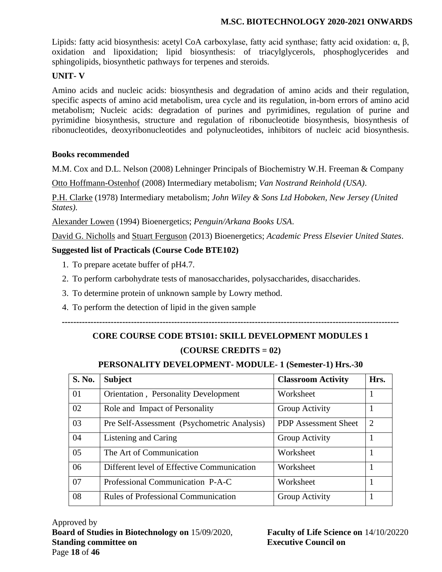Lipids: fatty acid biosynthesis: acetyl CoA carboxylase, fatty acid synthase; fatty acid oxidation: α, β, oxidation and lipoxidation; lipid biosynthesis: of triacylglycerols, phosphoglycerides and sphingolipids, biosynthetic pathways for terpenes and steroids.

### **UNIT- V**

Amino acids and nucleic acids: biosynthesis and degradation of amino acids and their regulation, specific aspects of amino acid metabolism, urea cycle and its regulation, in-born errors of amino acid metabolism; Nucleic acids: degradation of purines and pyrimidines, regulation of purine and pyrimidine biosynthesis, structure and regulation of ribonucleotide biosynthesis, biosynthesis of ribonucleotides, deoxyribonucleotides and polynucleotides, inhibitors of nucleic acid biosynthesis.

### **Books recommended**

M.M. Cox and D.L. Nelson (2008) Lehninger Principals of Biochemistry W.H. Freeman & Company

[Otto Hoffmann-Ostenhof](https://www.google.co.in/search?tbo=p&tbm=bks&q=inauthor:%22Otto+Hoffmann-Ostenhof%22&source=gbs_metadata_r&cad=5) (2008) Intermediary metabolism; *Van Nostrand Reinhold (USA)*.

[P.H. Clarke](http://www.amazon.com/s/ref=dp_byline_sr_book_1?ie=UTF8&text=P.H.+Clarke&search-alias=books&field-author=P.H.+Clarke&sort=relevancerank) (1978) Intermediary metabolism; *John Wiley & Sons Ltd Hoboken, New Jersey (United States).*

[Alexander Lowen](https://www.google.co.in/search?tbo=p&tbm=bks&q=inauthor:%22Alexander+Lowen%22) (1994) Bioenergetics; *Penguin/Arkana Books USA*.

[David G. Nicholls](http://www.amazon.com/David-G.-Nicholls/e/B001HD3ED4/ref=dp_byline_cont_book_1) and [Stuart Ferguson](http://www.amazon.com/s/ref=dp_byline_sr_book_2?ie=UTF8&text=Stuart+Ferguson&search-alias=books&field-author=Stuart+Ferguson&sort=relevancerank) (2013) Bioenergetics; *Academic Press Elsevier United States*.

### **Suggested list of Practicals (Course Code BTE102)**

- 1. To prepare acetate buffer of pH4.7.
- 2. To perform carbohydrate tests of manosaccharides, polysaccharides, disaccharides.
- 3. To determine protein of unknown sample by Lowry method.
- 4. To perform the detection of lipid in the given sample

# **--------------------------------------------------------------------------------------------------------------------- CORE COURSE CODE BTS101: SKILL DEVELOPMENT MODULES 1 (COURSE CREDITS = 02)**

### **PERSONALITY DEVELOPMENT- MODULE- 1 (Semester-1) Hrs.-30**

| S. No. | <b>Subject</b>                               | <b>Classroom Activity</b>   | Hrs.           |
|--------|----------------------------------------------|-----------------------------|----------------|
| 01     | <b>Orientation</b> , Personality Development | Worksheet                   |                |
| 02     | Role and Impact of Personality               | Group Activity              |                |
| 03     | Pre Self-Assessment (Psychometric Analysis)  | <b>PDP</b> Assessment Sheet | $\overline{2}$ |
| 04     | Listening and Caring                         | Group Activity              |                |
| 05     | The Art of Communication                     | Worksheet                   |                |
| 06     | Different level of Effective Communication   | Worksheet                   |                |
| 07     | Professional Communication P-A-C             | Worksheet                   |                |
| 08     | <b>Rules of Professional Communication</b>   | Group Activity              |                |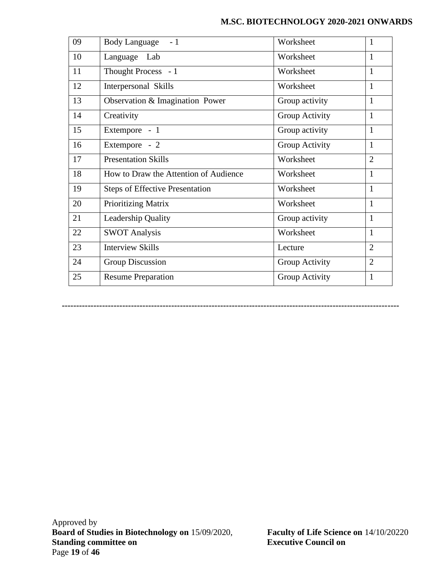| 09 | Body Language - 1                      | Worksheet      | 1              |
|----|----------------------------------------|----------------|----------------|
| 10 | Language Lab                           | Worksheet      | 1              |
| 11 | Thought Process - 1                    | Worksheet      | 1              |
| 12 | Interpersonal Skills                   | Worksheet      | 1              |
| 13 | Observation & Imagination Power        | Group activity | 1              |
| 14 | Creativity                             | Group Activity | $\mathbf{1}$   |
| 15 | Extempore - 1                          | Group activity | $\mathbf{1}$   |
| 16 | Extempore - 2                          | Group Activity | 1              |
| 17 | <b>Presentation Skills</b>             | Worksheet      | $\overline{2}$ |
| 18 | How to Draw the Attention of Audience  | Worksheet      | $\mathbf{1}$   |
| 19 | <b>Steps of Effective Presentation</b> | Worksheet      | $\mathbf{1}$   |
| 20 | <b>Prioritizing Matrix</b>             | Worksheet      | $\mathbf{1}$   |
| 21 | Leadership Quality                     | Group activity | $\mathbf{1}$   |
| 22 | <b>SWOT Analysis</b>                   | Worksheet      | 1              |
| 23 | <b>Interview Skills</b>                | Lecture        | $\overline{2}$ |
| 24 | <b>Group Discussion</b>                | Group Activity | $\overline{2}$ |
| 25 | <b>Resume Preparation</b>              | Group Activity | 1              |

**---------------------------------------------------------------------------------------------------------------------**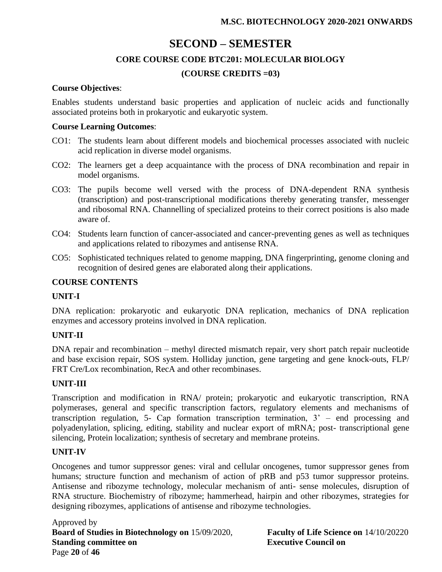## **SECOND – SEMESTER**

### **CORE COURSE CODE BTC201: MOLECULAR BIOLOGY**

### **(COURSE CREDITS =03)**

### **Course Objectives**:

Enables students understand basic properties and application of nucleic acids and functionally associated proteins both in prokaryotic and eukaryotic system.

#### **Course Learning Outcomes**:

- CO1: The students learn about different models and biochemical processes associated with nucleic acid replication in diverse model organisms.
- CO2: The learners get a deep acquaintance with the process of DNA recombination and repair in model organisms.
- CO3: The pupils become well versed with the process of DNA-dependent RNA synthesis (transcription) and post-transcriptional modifications thereby generating transfer, messenger and ribosomal RNA. Channelling of specialized proteins to their correct positions is also made aware of.
- CO4: Students learn function of cancer-associated and cancer-preventing genes as well as techniques and applications related to ribozymes and antisense RNA.
- CO5: Sophisticated techniques related to genome mapping, DNA fingerprinting, genome cloning and recognition of desired genes are elaborated along their applications.

### **COURSE CONTENTS**

### **UNIT-I**

DNA replication: prokaryotic and eukaryotic DNA replication, mechanics of DNA replication enzymes and accessory proteins involved in DNA replication.

### **UNIT-II**

DNA repair and recombination – methyl directed mismatch repair, very short patch repair nucleotide and base excision repair, SOS system. Holliday junction, gene targeting and gene knock-outs, FLP/ FRT Cre/Lox recombination, RecA and other recombinases.

### **UNIT-III**

Transcription and modification in RNA/ protein; prokaryotic and eukaryotic transcription, RNA polymerases, general and specific transcription factors, regulatory elements and mechanisms of transcription regulation, 5- Cap formation transcription termination, 3' – end processing and polyadenylation, splicing, editing, stability and nuclear export of mRNA; post- transcriptional gene silencing, Protein localization; synthesis of secretary and membrane proteins.

### **UNIT-IV**

Oncogenes and tumor suppressor genes: viral and cellular oncogenes, tumor suppressor genes from humans; structure function and mechanism of action of pRB and p53 tumor suppressor proteins. Antisense and ribozyme technology, molecular mechanism of anti- sense molecules, disruption of RNA structure. Biochemistry of ribozyme; hammerhead, hairpin and other ribozymes, strategies for designing ribozymes, applications of antisense and ribozyme technologies.

Approved by **Board of Studies in Biotechnology on** 15/09/2020, **Faculty of Life Science on** 14/10/20220 **Standing committee on Executive Council on** Page **20** of **46**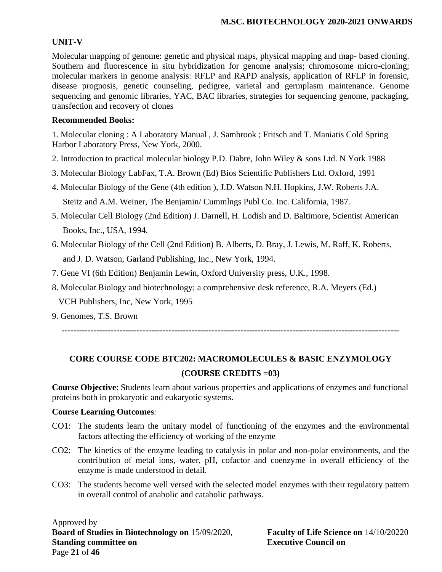### **UNIT-V**

Molecular mapping of genome: genetic and physical maps, physical mapping and map- based cloning. Southern and fluorescence in situ hybridization for genome analysis; chromosome micro-cloning; molecular markers in genome analysis: RFLP and RAPD analysis, application of RFLP in forensic, disease prognosis, genetic counseling, pedigree, varietal and germplasm maintenance. Genome sequencing and genomic libraries, YAC, BAC libraries, strategies for sequencing genome, packaging, transfection and recovery of clones

### **Recommended Books:**

1. Molecular cloning : A Laboratory Manual , J. Sambrook ; Fritsch and T. Maniatis Cold Spring Harbor Laboratory Press, New York, 2000.

- 2. Introduction to practical molecular biology P.D. Dabre, John Wiley & sons Ltd. N York 1988
- 3. Molecular Biology LabFax, T.A. Brown (Ed) Bios Scientific Publishers Ltd. Oxford, 1991
- 4. Molecular Biology of the Gene (4th edition ), J.D. Watson N.H. Hopkins, J.W. Roberts J.A.

Steitz and A.M. Weiner, The Benjamin/ Cummlngs Publ Co. Inc. California, 1987.

- 5. Molecular Cell Biology (2nd Edition) J. Darnell, H. Lodish and D. Baltimore, Scientist American Books, Inc., USA, 1994.
- 6. Molecular Biology of the Cell (2nd Edition) B. Alberts, D. Bray, J. Lewis, M. Raff, K. Roberts, and J. D. Watson, Garland Publishing, Inc., New York, 1994.
- 7. Gene VI (6th Edition) Benjamin Lewin, Oxford University press, U.K., 1998.
- 8. Molecular Biology and biotechnology; a comprehensive desk reference, R.A. Meyers (Ed.) VCH Publishers, Inc, New York, 1995
- 9. Genomes, T.S. Brown

**---------------------------------------------------------------------------------------------------------------------**

# **CORE COURSE CODE BTC202: MACROMOLECULES & BASIC ENZYMOLOGY (COURSE CREDITS =03)**

**Course Objective**: Students learn about various properties and applications of enzymes and functional proteins both in prokaryotic and eukaryotic systems.

### **Course Learning Outcomes**:

- CO1: The students learn the unitary model of functioning of the enzymes and the environmental factors affecting the efficiency of working of the enzyme
- CO2: The kinetics of the enzyme leading to catalysis in polar and non-polar environments, and the contribution of metal ions, water, pH, cofactor and coenzyme in overall efficiency of the enzyme is made understood in detail.
- CO3: The students become well versed with the selected model enzymes with their regulatory pattern in overall control of anabolic and catabolic pathways.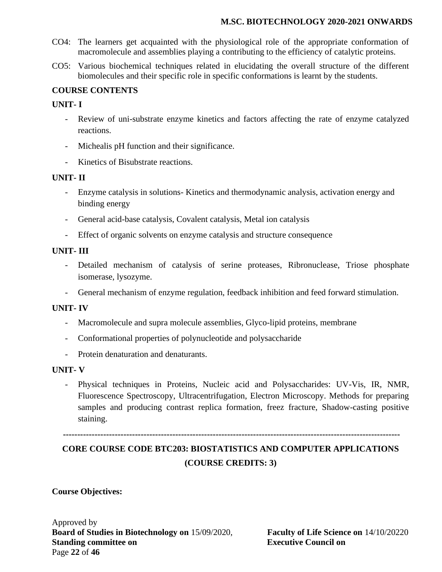- CO4: The learners get acquainted with the physiological role of the appropriate conformation of macromolecule and assemblies playing a contributing to the efficiency of catalytic proteins.
- CO5: Various biochemical techniques related in elucidating the overall structure of the different biomolecules and their specific role in specific conformations is learnt by the students.

### **COURSE CONTENTS**

### **UNIT- I**

- Review of uni-substrate enzyme kinetics and factors affecting the rate of enzyme catalyzed reactions.
- Michealis pH function and their significance.
- Kinetics of Bisubstrate reactions.

### **UNIT- II**

- Enzyme catalysis in solutions- Kinetics and thermodynamic analysis, activation energy and binding energy
- General acid-base catalysis, Covalent catalysis, Metal ion catalysis
- Effect of organic solvents on enzyme catalysis and structure consequence

### **UNIT- III**

- Detailed mechanism of catalysis of serine proteases, Ribronuclease, Triose phosphate isomerase, lysozyme.
- General mechanism of enzyme regulation, feedback inhibition and feed forward stimulation.

### **UNIT- IV**

- Macromolecule and supra molecule assemblies, Glyco-lipid proteins, membrane
- Conformational properties of polynucleotide and polysaccharide
- Protein denaturation and denaturants.

### **UNIT- V**

- Physical techniques in Proteins, Nucleic acid and Polysaccharides: UV-Vis, IR, NMR, Fluorescence Spectroscopy, Ultracentrifugation, Electron Microscopy. Methods for preparing samples and producing contrast replica formation, freez fracture, Shadow-casting positive staining.

**---------------------------------------------------------------------------------------------------------------------**

# **CORE COURSE CODE BTC203: BIOSTATISTICS AND COMPUTER APPLICATIONS (COURSE CREDITS: 3)**

### **Course Objectives:**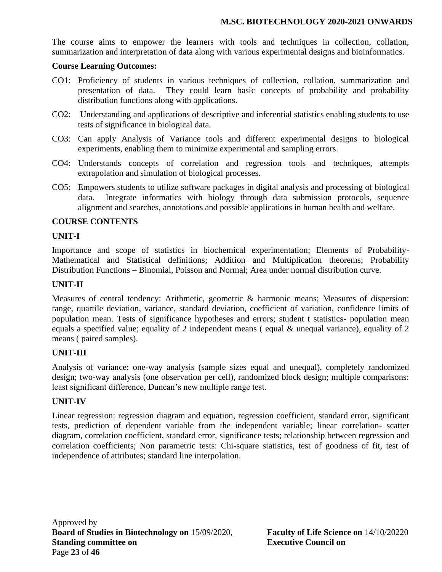The course aims to empower the learners with tools and techniques in collection, collation, summarization and interpretation of data along with various experimental designs and bioinformatics.

### **Course Learning Outcomes:**

- CO1: Proficiency of students in various techniques of collection, collation, summarization and presentation of data. They could learn basic concepts of probability and probability distribution functions along with applications.
- CO2: Understanding and applications of descriptive and inferential statistics enabling students to use tests of significance in biological data.
- CO3: Can apply Analysis of Variance tools and different experimental designs to biological experiments, enabling them to minimize experimental and sampling errors.
- CO4: Understands concepts of correlation and regression tools and techniques, attempts extrapolation and simulation of biological processes.
- CO5: Empowers students to utilize software packages in digital analysis and processing of biological data. Integrate informatics with biology through data submission protocols, sequence alignment and searches, annotations and possible applications in human health and welfare.

### **COURSE CONTENTS**

### **UNIT-I**

Importance and scope of statistics in biochemical experimentation; Elements of Probability-Mathematical and Statistical definitions; Addition and Multiplication theorems; Probability Distribution Functions – Binomial, Poisson and Normal; Area under normal distribution curve.

### **UNIT-II**

Measures of central tendency: Arithmetic, geometric & harmonic means; Measures of dispersion: range, quartile deviation, variance, standard deviation, coefficient of variation, confidence limits of population mean. Tests of significance hypotheses and errors; student t statistics- population mean equals a specified value; equality of 2 independent means ( equal & unequal variance), equality of 2 means ( paired samples).

### **UNIT-III**

Analysis of variance: one-way analysis (sample sizes equal and unequal), completely randomized design; two-way analysis (one observation per cell), randomized block design; multiple comparisons: least significant difference, Duncan's new multiple range test.

### **UNIT-IV**

Linear regression: regression diagram and equation, regression coefficient, standard error, significant tests, prediction of dependent variable from the independent variable; linear correlation- scatter diagram, correlation coefficient, standard error, significance tests; relationship between regression and correlation coefficients; Non parametric tests: Chi-square statistics, test of goodness of fit, test of independence of attributes; standard line interpolation.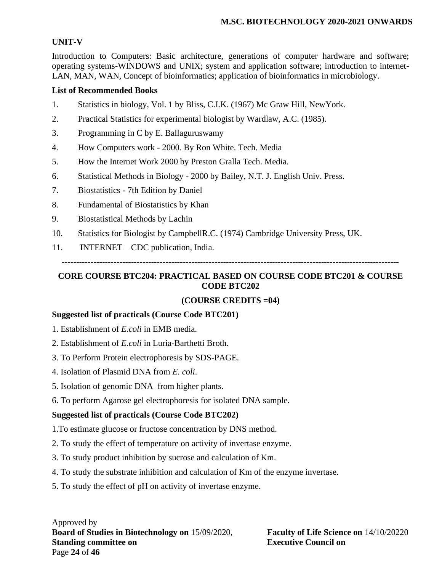### **UNIT-V**

Introduction to Computers: Basic architecture, generations of computer hardware and software; operating systems-WINDOWS and UNIX; system and application software; introduction to internet-LAN, MAN, WAN, Concept of bioinformatics; application of bioinformatics in microbiology.

### **List of Recommended Books**

- 1. Statistics in biology, Vol. 1 by Bliss, C.I.K. (1967) Mc Graw Hill, NewYork.
- 2. Practical Statistics for experimental biologist by Wardlaw, A.C. (1985).
- 3. Programming in C by E. Ballaguruswamy
- 4. How Computers work 2000. By Ron White. Tech. Media
- 5. How the Internet Work 2000 by Preston Gralla Tech. Media.
- 6. Statistical Methods in Biology 2000 by Bailey, N.T. J. English Univ. Press.
- 7. Biostatistics 7th Edition by Daniel
- 8. Fundamental of Biostatistics by Khan
- 9. Biostatistical Methods by Lachin
- 10. Statistics for Biologist by CampbellR.C. (1974) Cambridge University Press, UK.
- 11. INTERNET CDC publication, India.

**---------------------------------------------------------------------------------------------------------------------**

### **CORE COURSE BTC204: PRACTICAL BASED ON COURSE CODE BTC201 & COURSE CODE BTC202**

### **(COURSE CREDITS =04)**

### **Suggested list of practicals (Course Code BTC201)**

- 1. Establishment of *E.coli* in EMB media.
- 2. Establishment of *E.coli* in Luria-Barthetti Broth.
- 3. To Perform Protein electrophoresis by SDS-PAGE.
- 4. Isolation of Plasmid DNA from *E. coli*.
- 5. Isolation of genomic DNA from higher plants.
- 6. To perform Agarose gel electrophoresis for isolated DNA sample.

### **Suggested list of practicals (Course Code BTC202)**

- 1.To estimate glucose or fructose concentration by DNS method.
- 2. To study the effect of temperature on activity of invertase enzyme.
- 3. To study product inhibition by sucrose and calculation of Km.
- 4. To study the substrate inhibition and calculation of Km of the enzyme invertase.
- 5. To study the effect of pH on activity of invertase enzyme.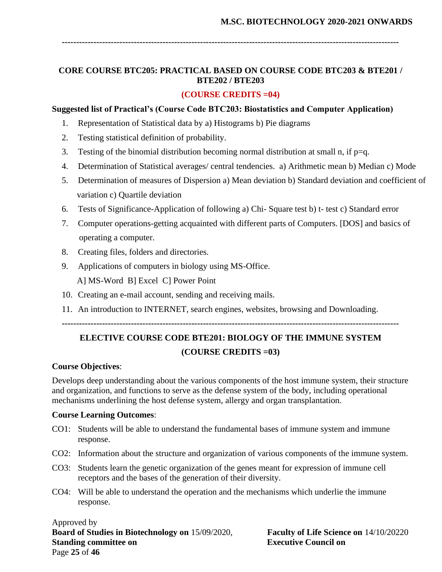**---------------------------------------------------------------------------------------------------------------------**

### **CORE COURSE BTC205: PRACTICAL BASED ON COURSE CODE BTC203 & BTE201 / BTE202 / BTE203**

#### **(COURSE CREDITS =04)**

#### **Suggested list of Practical's (Course Code BTC203: Biostatistics and Computer Application)**

- 1. Representation of Statistical data by a) Histograms b) Pie diagrams
- 2. Testing statistical definition of probability.
- 3. Testing of the binomial distribution becoming normal distribution at small n, if  $p=q$ .
- 4. Determination of Statistical averages/ central tendencies. a) Arithmetic mean b) Median c) Mode
- 5. Determination of measures of Dispersion a) Mean deviation b) Standard deviation and coefficient of variation c) Quartile deviation
- 6. Tests of Significance-Application of following a) Chi- Square test b) t- test c) Standard error
- 7. Computer operations-getting acquainted with different parts of Computers. [DOS] and basics of operating a computer.
- 8. Creating files, folders and directories.
- 9. Applications of computers in biology using MS-Office. A] MS-Word B] Excel C] Power Point
- 10. Creating an e-mail account, sending and receiving mails.
- 11. An introduction to INTERNET, search engines, websites, browsing and Downloading.

**---------------------------------------------------------------------------------------------------------------------**

# **ELECTIVE COURSE CODE BTE201: BIOLOGY OF THE IMMUNE SYSTEM (COURSE CREDITS =03)**

### **Course Objectives**:

Develops deep understanding about the various components of the host immune system, their structure and organization, and functions to serve as the defense system of the body, including operational mechanisms underlining the host defense system, allergy and organ transplantation.

### **Course Learning Outcomes**:

- CO1: Students will be able to understand the fundamental bases of immune system and immune response.
- CO2: Information about the structure and organization of various components of the immune system.
- CO3: Students learn the genetic organization of the genes meant for expression of immune cell receptors and the bases of the generation of their diversity.
- CO4: Will be able to understand the operation and the mechanisms which underlie the immune response.

Approved by **Board of Studies in Biotechnology on** 15/09/2020, **Faculty of Life Science on** 14/10/20220 **Standing committee on Executive Council on** Page **25** of **46**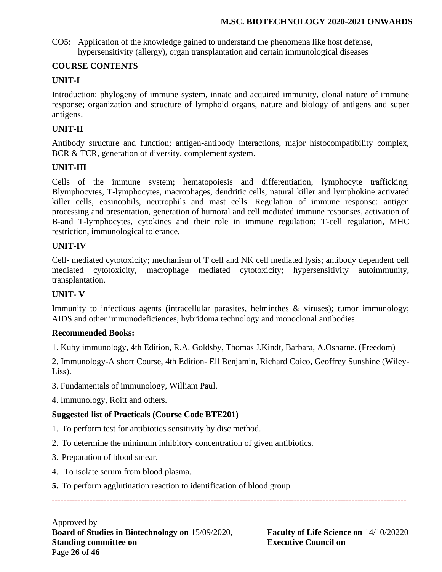CO5: Application of the knowledge gained to understand the phenomena like host defense, hypersensitivity (allergy), organ transplantation and certain immunological diseases

### **COURSE CONTENTS**

### **UNIT-I**

Introduction: phylogeny of immune system, innate and acquired immunity, clonal nature of immune response; organization and structure of lymphoid organs, nature and biology of antigens and super antigens.

### **UNIT-II**

Antibody structure and function; antigen-antibody interactions, major histocompatibility complex, BCR & TCR, generation of diversity, complement system.

### **UNIT-III**

Cells of the immune system; hematopoiesis and differentiation, lymphocyte trafficking. Blymphocytes, T-lymphocytes, macrophages, dendritic cells, natural killer and lymphokine activated killer cells, eosinophils, neutrophils and mast cells. Regulation of immune response: antigen processing and presentation, generation of humoral and cell mediated immune responses, activation of B-and T-lymphocytes, cytokines and their role in immune regulation; T-cell regulation, MHC restriction, immunological tolerance.

### **UNIT-IV**

Cell- mediated cytotoxicity; mechanism of T cell and NK cell mediated lysis; antibody dependent cell mediated cytotoxicity, macrophage mediated cytotoxicity; hypersensitivity autoimmunity, transplantation.

### **UNIT- V**

Immunity to infectious agents (intracellular parasites, helminthes & viruses); tumor immunology; AIDS and other immunodeficiences, hybridoma technology and monoclonal antibodies.

### **Recommended Books:**

1. Kuby immunology, 4th Edition, R.A. Goldsby, Thomas J.Kindt, Barbara, A.Osbarne. (Freedom)

2. Immunology-A short Course, 4th Edition- Ell Benjamin, Richard Coico, Geoffrey Sunshine (Wiley-Liss).

---------------------------------------------------------------------------------------------------------------------------

- 3. Fundamentals of immunology, William Paul.
- 4. Immunology, Roitt and others.

### **Suggested list of Practicals (Course Code BTE201)**

- 1. To perform test for antibiotics sensitivity by disc method.
- 2. To determine the minimum inhibitory concentration of given antibiotics.
- 3. Preparation of blood smear.
- 4. To isolate serum from blood plasma.
- **5.** To perform agglutination reaction to identification of blood group.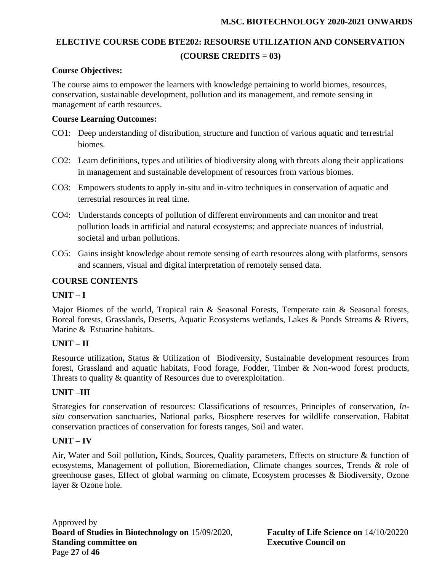## **ELECTIVE COURSE CODE BTE202: RESOURSE UTILIZATION AND CONSERVATION (COURSE CREDITS = 03)**

### **Course Objectives:**

The course aims to empower the learners with knowledge pertaining to world biomes, resources, conservation, sustainable development, pollution and its management, and remote sensing in management of earth resources.

### **Course Learning Outcomes:**

- CO1: Deep understanding of distribution, structure and function of various aquatic and terrestrial biomes.
- CO2: Learn definitions, types and utilities of biodiversity along with threats along their applications in management and sustainable development of resources from various biomes.
- CO3: Empowers students to apply in-situ and in-vitro techniques in conservation of aquatic and terrestrial resources in real time.
- CO4: Understands concepts of pollution of different environments and can monitor and treat pollution loads in artificial and natural ecosystems; and appreciate nuances of industrial, societal and urban pollutions.
- CO5: Gains insight knowledge about remote sensing of earth resources along with platforms, sensors and scanners, visual and digital interpretation of remotely sensed data.

### **COURSE CONTENTS**

### **UNIT – I**

Major Biomes of the world, Tropical rain & Seasonal Forests, Temperate rain & Seasonal forests, Boreal forests, Grasslands, Deserts, Aquatic Ecosystems wetlands, Lakes & Ponds Streams & Rivers, Marine & Estuarine habitats.

### **UNIT – II**

Resource utilization**,** Status & Utilization of Biodiversity, Sustainable development resources from forest, Grassland and aquatic habitats, Food forage, Fodder, Timber & Non-wood forest products, Threats to quality  $\&$  quantity of Resources due to overexploitation.

### **UNIT –III**

Strategies for conservation of resources: Classifications of resources, Principles of conservation, *Insitu* conservation sanctuaries, National parks, Biosphere reserves for wildlife conservation, Habitat conservation practices of conservation for forests ranges, Soil and water.

### **UNIT – IV**

Air, Water and Soil pollution**,** Kinds, Sources, Quality parameters, Effects on structure & function of ecosystems, Management of pollution, Bioremediation, Climate changes sources, Trends & role of greenhouse gases, Effect of global warming on climate, Ecosystem processes & Biodiversity, Ozone layer & Ozone hole.

Approved by **Board of Studies in Biotechnology on** 15/09/2020, **Faculty of Life Science on** 14/10/20220 **Standing committee on Executive Council on** Page **27** of **46**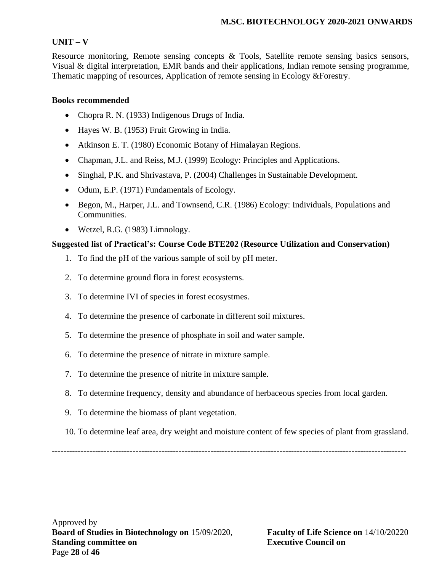### **UNIT – V**

Resource monitoring, Remote sensing concepts & Tools, Satellite remote sensing basics sensors, Visual & digital interpretation, EMR bands and their applications, Indian remote sensing programme, Thematic mapping of resources, Application of remote sensing in Ecology &Forestry.

### **Books recommended**

- Chopra R. N. (1933) Indigenous Drugs of India.
- Hayes W. B. (1953) Fruit Growing in India.
- Atkinson E. T. (1980) Economic Botany of Himalayan Regions.
- Chapman, J.L. and Reiss, M.J. (1999) Ecology: Principles and Applications.
- Singhal, P.K. and Shrivastava, P. (2004) Challenges in Sustainable Development.
- Odum, E.P. (1971) Fundamentals of Ecology.
- Begon, M., Harper, J.L. and Townsend, C.R. (1986) Ecology: Individuals, Populations and Communities.
- Wetzel, R.G. (1983) Limnology.

### **Suggested list of Practical's: Course Code BTE202** (**Resource Utilization and Conservation)**

- 1. To find the pH of the various sample of soil by pH meter.
- 2. To determine ground flora in forest ecosystems.
- 3. To determine IVI of species in forest ecosystmes.
- 4. To determine the presence of carbonate in different soil mixtures.
- 5. To determine the presence of phosphate in soil and water sample.
- 6. To determine the presence of nitrate in mixture sample.
- 7. To determine the presence of nitrite in mixture sample.
- 8. To determine frequency, density and abundance of herbaceous species from local garden.
- 9. To determine the biomass of plant vegetation.
- 10. To determine leaf area, dry weight and moisture content of few species of plant from grassland.

**---------------------------------------------------------------------------------------------------------------------------**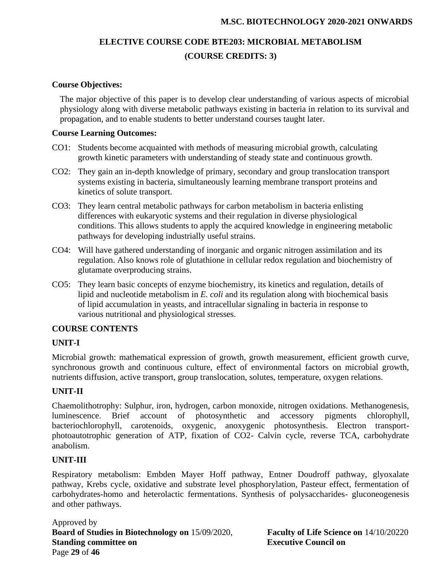# **ELECTIVE COURSE CODE BTE203: MICROBIAL METABOLISM (COURSE CREDITS: 3)**

### **Course Objectives:**

The major objective of this paper is to develop clear understanding of various aspects of microbial physiology along with diverse metabolic pathways existing in bacteria in relation to its survival and propagation, and to enable students to better understand courses taught later.

### **Course Learning Outcomes:**

- CO1: Students become acquainted with methods of measuring microbial growth, calculating growth kinetic parameters with understanding of steady state and continuous growth.
- CO2: They gain an in-depth knowledge of primary, secondary and group translocation transport systems existing in bacteria, simultaneously learning membrane transport proteins and kinetics of solute transport.
- CO3: They learn central metabolic pathways for carbon metabolism in bacteria enlisting differences with eukaryotic systems and their regulation in diverse physiological conditions. This allows students to apply the acquired knowledge in engineering metabolic pathways for developing industrially useful strains.
- CO4: Will have gathered understanding of inorganic and organic nitrogen assimilation and its regulation. Also knows role of glutathione in cellular redox regulation and biochemistry of glutamate overproducing strains.
- CO5: They learn basic concepts of enzyme biochemistry, its kinetics and regulation, details of lipid and nucleotide metabolism in *E. coli* and its regulation along with biochemical basis of lipid accumulation in yeasts, and intracellular signaling in bacteria in response to various nutritional and physiological stresses.

### **COURSE CONTENTS**

### **UNIT-I**

Microbial growth: mathematical expression of growth, growth measurement, efficient growth curve, synchronous growth and continuous culture, effect of environmental factors on microbial growth, nutrients diffusion, active transport, group translocation, solutes, temperature, oxygen relations.

### **UNIT-II**

Chaemolithotrophy: Sulphur, iron, hydrogen, carbon monoxide, nitrogen oxidations. Methanogenesis, luminescence. Brief account of photosynthetic and accessory pigments chlorophyll, bacteriochlorophyll, carotenoids, oxygenic, anoxygenic photosynthesis. Electron transportphotoautotrophic generation of ATP, fixation of CO2- Calvin cycle, reverse TCA, carbohydrate anabolism.

### **UNIT-III**

Respiratory metabolism: Embden Mayer Hoff pathway, Entner Doudroff pathway, glyoxalate pathway, Krebs cycle, oxidative and substrate level phosphorylation, Pasteur effect, fermentation of carbohydrates-homo and heterolactic fermentations. Synthesis of polysaccharides- gluconeogenesis and other pathways.

Approved by **Board of Studies in Biotechnology on** 15/09/2020, **Faculty of Life Science on** 14/10/20220 **Standing committee on Executive Council on** Page **29** of **46**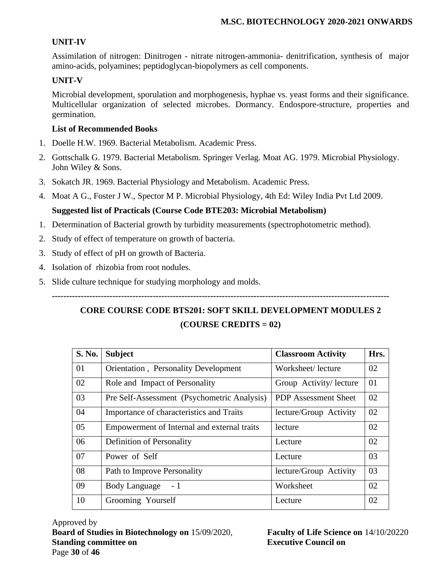### **UNIT-IV**

Assimilation of nitrogen: Dinitrogen - nitrate nitrogen-ammonia- denitrification, synthesis of major amino-acids, polyamines; peptidoglycan-biopolymers as cell components.

### **UNIT-V**

Microbial development, sporulation and morphogenesis, hyphae vs. yeast forms and their significance. Multicellular organization of selected microbes. Dormancy. Endospore-structure, properties and germination.

### **List of Recommended Books**

- 1. Doelle H.W. 1969. Bacterial Metabolism. Academic Press.
- 2. Gottschalk G. 1979. Bacterial Metabolism. Springer Verlag. Moat AG. 1979. Microbial Physiology. John Wiley & Sons.
- 3. Sokatch JR. 1969. Bacterial Physiology and Metabolism. Academic Press.
- 4. Moat A G., Foster J W., Spector M P. Microbial Physiology, 4th Ed: Wiley India Pvt Ltd 2009.

### **Suggested list of Practicals (Course Code BTE203: Microbial Metabolism)**

- 1. Determination of Bacterial growth by turbidity measurements (spectrophotometric method).
- 2. Study of effect of temperature on growth of bacteria.
- 3. Study of effect of pH on growth of Bacteria.
- 4. Isolation of rhizobia from root nodules.
- 5. Slide culture technique for studying morphology and molds.

# **CORE COURSE CODE BTS201: SOFT SKILL DEVELOPMENT MODULES 2 (COURSE CREDITS = 02)**

**---------------------------------------------------------------------------------------------------------------------**

| S. No. | <b>Subject</b>                               | <b>Classroom Activity</b>   | Hrs. |
|--------|----------------------------------------------|-----------------------------|------|
| 01     | <b>Orientation</b> , Personality Development | Worksheet/lecture           | 02   |
| 02     | Role and Impact of Personality               | Group Activity/ lecture     | 01   |
| 03     | Pre Self-Assessment (Psychometric Analysis)  | <b>PDP</b> Assessment Sheet | 02   |
| 04     | Importance of characteristics and Traits     | lecture/Group Activity      | 02   |
| 05     | Empowerment of Internal and external traits  | lecture                     | 02   |
| 06     | Definition of Personality                    | Lecture                     | 02   |
| 07     | Power of Self                                | Lecture                     | 03   |
| 08     | Path to Improve Personality                  | lecture/Group Activity      | 03   |
| 09     | <b>Body Language</b><br>- 1                  | Worksheet                   | 02   |
| 10     | Grooming Yourself                            | Lecture                     | 02   |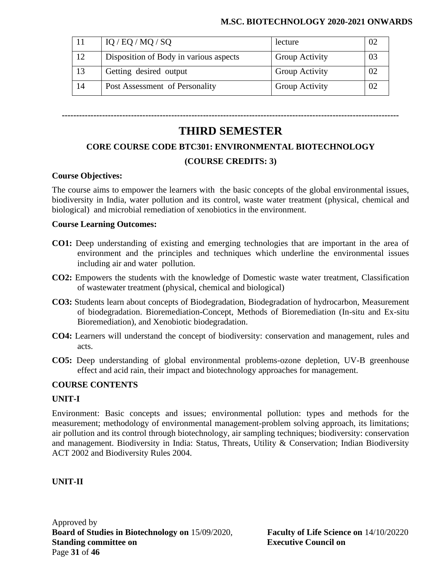| 11 | IQ / EQ / MQ / SQ                      | lecture               |  |
|----|----------------------------------------|-----------------------|--|
| 12 | Disposition of Body in various aspects | <b>Group Activity</b> |  |
| 13 | Getting desired output                 | <b>Group Activity</b> |  |
| 14 | Post Assessment of Personality         | <b>Group Activity</b> |  |

**---------------------------------------------------------------------------------------------------------------------**

# **THIRD SEMESTER**

### **CORE COURSE CODE BTC301: ENVIRONMENTAL BIOTECHNOLOGY**

### **(COURSE CREDITS: 3)**

### **Course Objectives:**

The course aims to empower the learners with the basic concepts of the global environmental issues, biodiversity in India, water pollution and its control, waste water treatment (physical, chemical and biological) and microbial remediation of xenobiotics in the environment.

### **Course Learning Outcomes:**

- **CO1:** Deep understanding of existing and emerging technologies that are important in the area of environment and the principles and techniques which underline the environmental issues including air and water pollution.
- **CO2:** Empowers the students with the knowledge of Domestic waste water treatment, Classification of wastewater treatment (physical, chemical and biological)
- **CO3:** Students learn about concepts of Biodegradation, Biodegradation of hydrocarbon, Measurement of biodegradation. Bioremediation-Concept, Methods of Bioremediation (In-situ and Ex-situ Bioremediation), and Xenobiotic biodegradation.
- **CO4:** Learners will understand the concept of biodiversity: conservation and management, rules and acts.
- **CO5:** Deep understanding of global environmental problems-ozone depletion, UV-B greenhouse effect and acid rain, their impact and biotechnology approaches for management.

### **COURSE CONTENTS**

### **UNIT-I**

Environment: Basic concepts and issues; environmental pollution: types and methods for the measurement; methodology of environmental management-problem solving approach, its limitations; air pollution and its control through biotechnology, air sampling techniques; biodiversity: conservation and management. Biodiversity in India: Status, Threats, Utility & Conservation; Indian Biodiversity ACT 2002 and Biodiversity Rules 2004.

### **UNIT-II**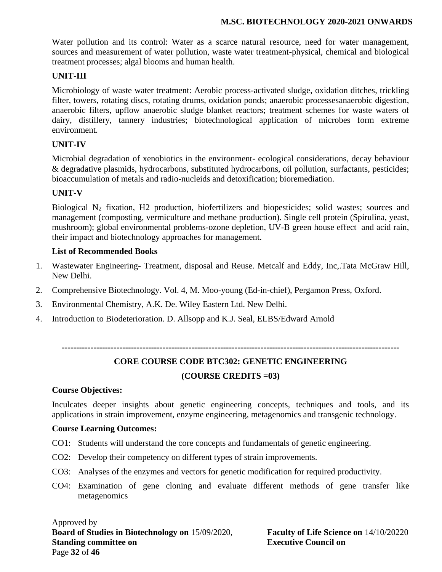Water pollution and its control: Water as a scarce natural resource, need for water management, sources and measurement of water pollution, waste water treatment-physical, chemical and biological treatment processes; algal blooms and human health.

### **UNIT-III**

Microbiology of waste water treatment: Aerobic process-activated sludge, oxidation ditches, trickling filter, towers, rotating discs, rotating drums, oxidation ponds; anaerobic processesanaerobic digestion, anaerobic filters, upflow anaerobic sludge blanket reactors; treatment schemes for waste waters of dairy, distillery, tannery industries; biotechnological application of microbes form extreme environment.

### **UNIT-IV**

Microbial degradation of xenobiotics in the environment- ecological considerations, decay behaviour & degradative plasmids, hydrocarbons, substituted hydrocarbons, oil pollution, surfactants, pesticides; bioaccumulation of metals and radio-nucleids and detoxification; bioremediation.

### **UNIT-V**

Biological N<sup>2</sup> fixation, H2 production, biofertilizers and biopesticides; solid wastes; sources and management (composting, vermiculture and methane production). Single cell protein (Spirulina, yeast, mushroom); global environmental problems-ozone depletion, UV-B green house effect and acid rain, their impact and biotechnology approaches for management.

### **List of Recommended Books**

- 1. Wastewater Engineering- Treatment, disposal and Reuse. Metcalf and Eddy, Inc,.Tata McGraw Hill, New Delhi.
- 2. Comprehensive Biotechnology. Vol. 4, M. Moo-young (Ed-in-chief), Pergamon Press, Oxford.
- 3. Environmental Chemistry, A.K. De. Wiley Eastern Ltd. New Delhi.
- 4. Introduction to Biodeterioration. D. Allsopp and K.J. Seal, ELBS/Edward Arnold

**---------------------------------------------------------------------------------------------------------------------**

## **CORE COURSE CODE BTC302: GENETIC ENGINEERING (COURSE CREDITS =03)**

#### **Course Objectives:**

Inculcates deeper insights about genetic engineering concepts, techniques and tools, and its applications in strain improvement, enzyme engineering, metagenomics and transgenic technology.

#### **Course Learning Outcomes:**

- CO1: Students will understand the core concepts and fundamentals of genetic engineering.
- CO2: Develop their competency on different types of strain improvements.
- CO3: Analyses of the enzymes and vectors for genetic modification for required productivity.
- CO4: Examination of gene cloning and evaluate different methods of gene transfer like metagenomics

### Approved by **Board of Studies in Biotechnology on** 15/09/2020, **Faculty of Life Science on** 14/10/20220 **Standing committee on Executive Council on** Page **32** of **46**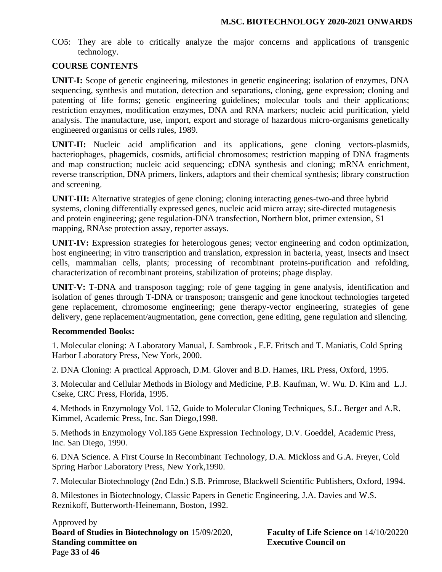CO5: They are able to critically analyze the major concerns and applications of transgenic technology.

### **COURSE CONTENTS**

**UNIT-I:** Scope of genetic engineering, milestones in genetic engineering; isolation of enzymes, DNA sequencing, synthesis and mutation, detection and separations, cloning, gene expression; cloning and patenting of life forms; genetic engineering guidelines; molecular tools and their applications; restriction enzymes, modification enzymes, DNA and RNA markers; nucleic acid purification, yield analysis. The manufacture, use, import, export and storage of hazardous micro-organisms genetically engineered organisms or cells rules, 1989.

**UNIT-II:** Nucleic acid amplification and its applications, gene cloning vectors-plasmids, bacteriophages, phagemids, cosmids, artificial chromosomes; restriction mapping of DNA fragments and map construction; nucleic acid sequencing; cDNA synthesis and cloning; mRNA enrichment, reverse transcription, DNA primers, linkers, adaptors and their chemical synthesis; library construction and screening.

**UNIT-III:** Alternative strategies of gene cloning; cloning interacting genes-two-and three hybrid systems, cloning differentially expressed genes, nucleic acid micro array; site-directed mutagenesis and protein engineering; gene regulation-DNA transfection, Northern blot, primer extension, S1 mapping, RNAse protection assay, reporter assays.

**UNIT-IV:** Expression strategies for heterologous genes; vector engineering and codon optimization, host engineering; in vitro transcription and translation, expression in bacteria, yeast, insects and insect cells, mammalian cells, plants; processing of recombinant proteins-purification and refolding, characterization of recombinant proteins, stabilization of proteins; phage display.

**UNIT-V:** T-DNA and transposon tagging; role of gene tagging in gene analysis, identification and isolation of genes through T-DNA or transposon; transgenic and gene knockout technologies targeted gene replacement, chromosome engineering; gene therapy-vector engineering, strategies of gene delivery, gene replacement/augmentation, gene correction, gene editing, gene regulation and silencing.

### **Recommended Books:**

1. Molecular cloning: A Laboratory Manual, J. Sambrook , E.F. Fritsch and T. Maniatis, Cold Spring Harbor Laboratory Press, New York, 2000.

2. DNA Cloning: A practical Approach, D.M. Glover and B.D. Hames, IRL Press, Oxford, 1995.

3. Molecular and Cellular Methods in Biology and Medicine, P.B. Kaufman, W. Wu. D. Kim and L.J. Cseke, CRC Press, Florida, 1995.

4. Methods in Enzymology Vol. 152, Guide to Molecular Cloning Techniques, S.L. Berger and A.R. Kimmel, Academic Press, Inc. San Diego,1998.

5. Methods in Enzymology Vol.185 Gene Expression Technology, D.V. Goeddel, Academic Press, Inc. San Diego, 1990.

6. DNA Science. A First Course In Recombinant Technology, D.A. Mickloss and G.A. Freyer, Cold Spring Harbor Laboratory Press, New York,1990.

7. Molecular Biotechnology (2nd Edn.) S.B. Primrose, Blackwell Scientific Publishers, Oxford, 1994.

8. Milestones in Biotechnology, Classic Papers in Genetic Engineering, J.A. Davies and W.S. Reznikoff, Butterworth-Heinemann, Boston, 1992.

Approved by **Board of Studies in Biotechnology on** 15/09/2020, **Faculty of Life Science on** 14/10/20220 **Standing committee on Executive Council on** Page **33** of **46**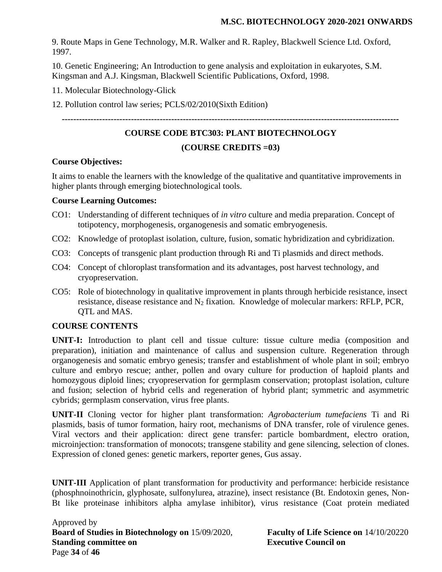9. Route Maps in Gene Technology, M.R. Walker and R. Rapley, Blackwell Science Ltd. Oxford, 1997.

10. Genetic Engineering; An Introduction to gene analysis and exploitation in eukaryotes, S.M. Kingsman and A.J. Kingsman, Blackwell Scientific Publications, Oxford, 1998.

11. Molecular Biotechnology-Glick

12. Pollution control law series; PCLS/02/2010(Sixth Edition)

**---------------------------------------------------------------------------------------------------------------------**

### **COURSE CODE BTC303: PLANT BIOTECHNOLOGY**

### **(COURSE CREDITS =03)**

### **Course Objectives:**

It aims to enable the learners with the knowledge of the qualitative and quantitative improvements in higher plants through emerging biotechnological tools.

### **Course Learning Outcomes:**

- CO1: Understanding of different techniques of *in vitro* culture and media preparation. Concept of totipotency, morphogenesis, organogenesis and somatic embryogenesis.
- CO2: Knowledge of protoplast isolation, culture, fusion, somatic hybridization and cybridization.
- CO3: Concepts of transgenic plant production through Ri and Ti plasmids and direct methods.
- CO4: Concept of chloroplast transformation and its advantages, post harvest technology, and cryopreservation.
- CO5: Role of biotechnology in qualitative improvement in plants through herbicide resistance, insect resistance, disease resistance and N<sub>2</sub> fixation. Knowledge of molecular markers: RFLP, PCR, QTL and MAS.

### **COURSE CONTENTS**

**UNIT-I:** Introduction to plant cell and tissue culture: tissue culture media (composition and preparation), initiation and maintenance of callus and suspension culture. Regeneration through organogenesis and somatic embryo genesis; transfer and establishment of whole plant in soil; embryo culture and embryo rescue; anther, pollen and ovary culture for production of haploid plants and homozygous diploid lines; cryopreservation for germplasm conservation; protoplast isolation, culture and fusion; selection of hybrid cells and regeneration of hybrid plant; symmetric and asymmetric cybrids; germplasm conservation, virus free plants.

**UNIT-II** Cloning vector for higher plant transformation: *Agrobacterium tumefaciens* Ti and Ri plasmids, basis of tumor formation, hairy root, mechanisms of DNA transfer, role of virulence genes. Viral vectors and their application: direct gene transfer: particle bombardment, electro oration, microinjection: transformation of monocots; transgene stability and gene silencing, selection of clones. Expression of cloned genes: genetic markers, reporter genes, Gus assay.

**UNIT-III** Application of plant transformation for productivity and performance: herbicide resistance (phosphnoinothricin, glyphosate, sulfonylurea, atrazine), insect resistance (Bt. Endotoxin genes, Non-Bt like proteinase inhibitors alpha amylase inhibitor), virus resistance (Coat protein mediated

Approved by **Board of Studies in Biotechnology on** 15/09/2020, **Faculty of Life Science on** 14/10/20220 **Standing committee on Executive Council on** Page **34** of **46**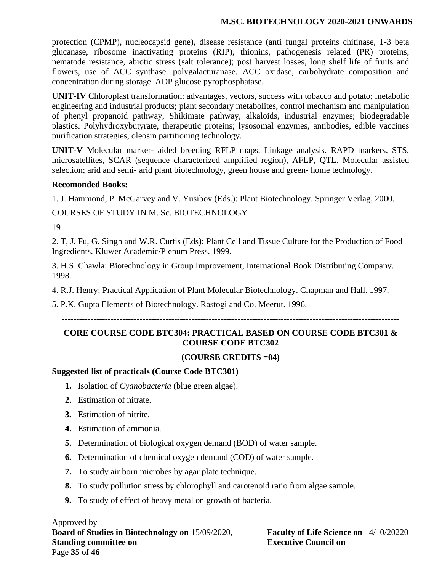protection (CPMP), nucleocapsid gene), disease resistance (anti fungal proteins chitinase, 1-3 beta glucanase, ribosome inactivating proteins (RIP), thionins, pathogenesis related (PR) proteins, nematode resistance, abiotic stress (salt tolerance); post harvest losses, long shelf life of fruits and flowers, use of ACC synthase. polygalacturanase. ACC oxidase, carbohydrate composition and concentration during storage. ADP glucose pyrophosphatase.

**UNIT-IV** Chloroplast transformation: advantages, vectors, success with tobacco and potato; metabolic engineering and industrial products; plant secondary metabolites, control mechanism and manipulation of phenyl propanoid pathway, Shikimate pathway, alkaloids, industrial enzymes; biodegradable plastics. Polyhydroxybutyrate, therapeutic proteins; lysosomal enzymes, antibodies, edible vaccines purification strategies, oleosin partitioning technology.

**UNIT-V** Molecular marker- aided breeding RFLP maps. Linkage analysis. RAPD markers. STS, microsatellites, SCAR (sequence characterized amplified region), AFLP, QTL. Molecular assisted selection; arid and semi- arid plant biotechnology, green house and green- home technology.

### **Recomonded Books:**

1. J. Hammond, P. McGarvey and V. Yusibov (Eds.): Plant Biotechnology. Springer Verlag, 2000.

COURSES OF STUDY IN M. Sc. BIOTECHNOLOGY

19

2. T, J. Fu, G. Singh and W.R. Curtis (Eds): Plant Cell and Tissue Culture for the Production of Food Ingredients. Kluwer Academic/Plenum Press. 1999.

3. H.S. Chawla: Biotechnology in Group Improvement, International Book Distributing Company. 1998.

4. R.J. Henry: Practical Application of Plant Molecular Biotechnology. Chapman and Hall. 1997.

5. P.K. Gupta Elements of Biotechnology. Rastogi and Co. Meerut. 1996.

**---------------------------------------------------------------------------------------------------------------------**

### **CORE COURSE CODE BTC304: PRACTICAL BASED ON COURSE CODE BTC301 & COURSE CODE BTC302**

### **(COURSE CREDITS =04)**

### **Suggested list of practicals (Course Code BTC301)**

- **1.** Isolation of *Cyanobacteria* (blue green algae).
- **2.** Estimation of nitrate.
- **3.** Estimation of nitrite.
- **4.** Estimation of ammonia.
- **5.** Determination of biological oxygen demand (BOD) of water sample.
- **6.** Determination of chemical oxygen demand (COD) of water sample.
- **7.** To study air born microbes by agar plate technique.
- **8.** To study pollution stress by chlorophyll and carotenoid ratio from algae sample.
- **9.** To study of effect of heavy metal on growth of bacteria.

Approved by **Board of Studies in Biotechnology on** 15/09/2020, **Faculty of Life Science on** 14/10/20220 **Standing committee on Executive Council on** Page **35** of **46**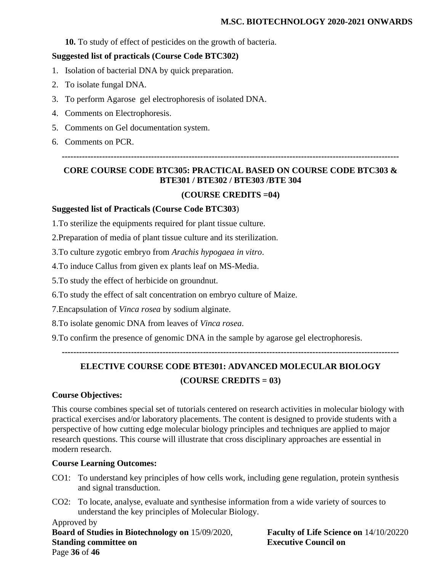**10.** To study of effect of pesticides on the growth of bacteria.

### **Suggested list of practicals (Course Code BTC302)**

- 1. Isolation of bacterial DNA by quick preparation.
- 2. To isolate fungal DNA.
- 3. To perform Agarose gel electrophoresis of isolated DNA.
- 4. Comments on Electrophoresis.
- 5. Comments on Gel documentation system.
- 6. Comments on PCR.

**---------------------------------------------------------------------------------------------------------------------**

### **CORE COURSE CODE BTC305: PRACTICAL BASED ON COURSE CODE BTC303 & BTE301 / BTE302 / BTE303 /BTE 304**

### **(COURSE CREDITS =04)**

### **Suggested list of Practicals (Course Code BTC303**)

1.To sterilize the equipments required for plant tissue culture.

2.Preparation of media of plant tissue culture and its sterilization.

3.To culture zygotic embryo from *Arachis hypogaea in vitro*.

4.To induce Callus from given ex plants leaf on MS-Media.

5.To study the effect of herbicide on groundnut.

6.To study the effect of salt concentration on embryo culture of Maize.

7.Encapsulation of *Vinca rosea* by sodium alginate.

8.To isolate genomic DNA from leaves of *Vinca rosea*.

9.To confirm the presence of genomic DNA in the sample by agarose gel electrophoresis.

**---------------------------------------------------------------------------------------------------------------------**

# **ELECTIVE COURSE CODE BTE301: ADVANCED MOLECULAR BIOLOGY**

### **(COURSE CREDITS = 03)**

### **Course Objectives:**

This course combines special set of tutorials centered on research activities in molecular biology with practical exercises and/or laboratory placements. The content is designed to provide students with a perspective of how cutting edge molecular biology principles and techniques are applied to major research questions. This course will illustrate that cross disciplinary approaches are essential in modern research.

### **Course Learning Outcomes:**

- CO1: To understand key principles of how cells work, including gene regulation, protein synthesis and signal transduction.
- CO2: To locate, analyse, evaluate and synthesise information from a wide variety of sources to understand the key principles of Molecular Biology.

Approved by **Board of Studies in Biotechnology on** 15/09/2020, **Faculty of Life Science on** 14/10/20220 **Standing committee on Executive Council on** Page **36** of **46**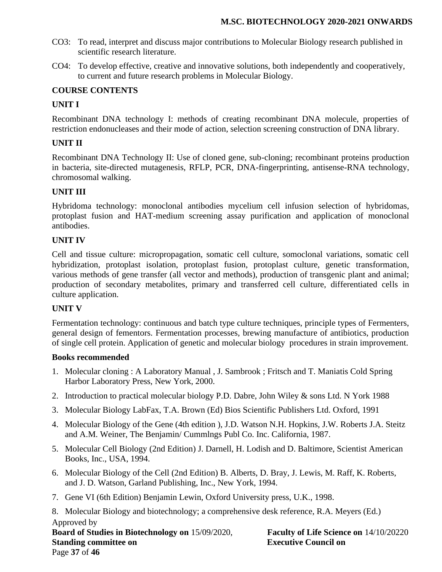- CO3: To read, interpret and discuss major contributions to Molecular Biology research published in scientific research literature.
- CO4: To develop effective, creative and innovative solutions, both independently and cooperatively, to current and future research problems in Molecular Biology.

### **COURSE CONTENTS**

### **UNIT I**

Recombinant DNA technology I: methods of creating recombinant DNA molecule, properties of restriction endonucleases and their mode of action, selection screening construction of DNA library.

### **UNIT II**

Recombinant DNA Technology II: Use of cloned gene, sub-cloning; recombinant proteins production in bacteria, site-directed mutagenesis, RFLP, PCR, DNA-fingerprinting, antisense-RNA technology, chromosomal walking.

### **UNIT III**

Hybridoma technology: monoclonal antibodies mycelium cell infusion selection of hybridomas, protoplast fusion and HAT-medium screening assay purification and application of monoclonal antibodies.

### **UNIT IV**

Cell and tissue culture: micropropagation, somatic cell culture, somoclonal variations, somatic cell hybridization, protoplast isolation, protoplast fusion, protoplast culture, genetic transformation, various methods of gene transfer (all vector and methods), production of transgenic plant and animal; production of secondary metabolites, primary and transferred cell culture, differentiated cells in culture application.

### **UNIT V**

Fermentation technology: continuous and batch type culture techniques, principle types of Fermenters, general design of fementors. Fermentation processes, brewing manufacture of antibiotics, production of single cell protein. Application of genetic and molecular biology procedures in strain improvement.

### **Books recommended**

- 1. Molecular cloning : A Laboratory Manual , J. Sambrook ; Fritsch and T. Maniatis Cold Spring Harbor Laboratory Press, New York, 2000.
- 2. Introduction to practical molecular biology P.D. Dabre, John Wiley & sons Ltd. N York 1988
- 3. Molecular Biology LabFax, T.A. Brown (Ed) Bios Scientific Publishers Ltd. Oxford, 1991
- 4. Molecular Biology of the Gene (4th edition ), J.D. Watson N.H. Hopkins, J.W. Roberts J.A. Steitz and A.M. Weiner, The Benjamin/ Cummlngs Publ Co. Inc. California, 1987.
- 5. Molecular Cell Biology (2nd Edition) J. Darnell, H. Lodish and D. Baltimore, Scientist American Books, Inc., USA, 1994.
- 6. Molecular Biology of the Cell (2nd Edition) B. Alberts, D. Bray, J. Lewis, M. Raff, K. Roberts, and J. D. Watson, Garland Publishing, Inc., New York, 1994.
- 7. Gene VI (6th Edition) Benjamin Lewin, Oxford University press, U.K., 1998.

Approved by **Board of Studies in Biotechnology on** 15/09/2020, **Faculty of Life Science on** 14/10/20220 8. Molecular Biology and biotechnology; a comprehensive desk reference, R.A. Meyers (Ed.)

**Standing committee on Executive Council on** Page **37** of **46**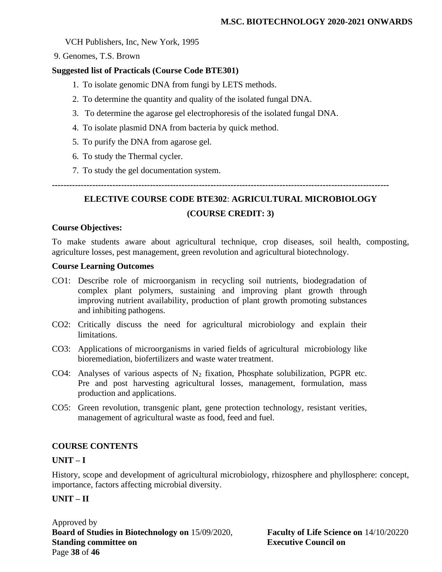### VCH Publishers, Inc, New York, 1995

9. Genomes, T.S. Brown

### **Suggested list of Practicals (Course Code BTE301)**

- 1. To isolate genomic DNA from fungi by LETS methods.
- 2. To determine the quantity and quality of the isolated fungal DNA.
- 3. To determine the agarose gel electrophoresis of the isolated fungal DNA.
- 4. To isolate plasmid DNA from bacteria by quick method.
- 5. To purify the DNA from agarose gel.
- 6. To study the Thermal cycler.
- 7. To study the gel documentation system.

**---------------------------------------------------------------------------------------------------------------------**

# **ELECTIVE COURSE CODE BTE302**: **AGRICULTURAL MICROBIOLOGY (COURSE CREDIT: 3)**

### **Course Objectives:**

To make students aware about agricultural technique, crop diseases, soil health, composting, agriculture losses, pest management, green revolution and agricultural biotechnology.

### **Course Learning Outcomes**

- CO1: Describe role of microorganism in recycling soil nutrients, biodegradation of complex plant polymers, sustaining and improving plant growth through improving nutrient availability, production of plant growth promoting substances and inhibiting pathogens.
- CO2: Critically discuss the need for agricultural microbiology and explain their limitations.
- CO3: Applications of microorganisms in varied fields of agricultural microbiology like bioremediation, biofertilizers and waste water treatment.
- CO4: Analyses of various aspects of  $N_2$  fixation, Phosphate solubilization, PGPR etc. Pre and post harvesting agricultural losses, management, formulation, mass production and applications.
- CO5: Green revolution, transgenic plant, gene protection technology, resistant verities, management of agricultural waste as food, feed and fuel.

### **COURSE CONTENTS**

### **UNIT – I**

History, scope and development of agricultural microbiology, rhizosphere and phyllosphere: concept, importance, factors affecting microbial diversity.

### **UNIT – II**

Approved by **Board of Studies in Biotechnology on** 15/09/2020, **Faculty of Life Science on** 14/10/20220 **Standing committee on Executive Council on** Page **38** of **46**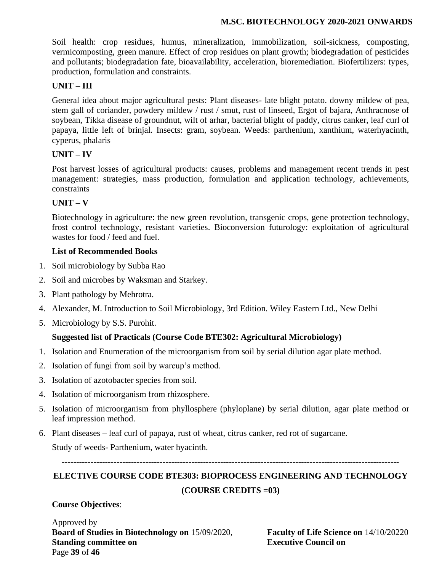Soil health: crop residues, humus, mineralization, immobilization, soil-sickness, composting, vermicomposting, green manure. Effect of crop residues on plant growth; biodegradation of pesticides and pollutants; biodegradation fate, bioavailability, acceleration, bioremediation. Biofertilizers: types, production, formulation and constraints.

### **UNIT – III**

General idea about major agricultural pests: Plant diseases- late blight potato. downy mildew of pea, stem gall of coriander, powdery mildew / rust / smut, rust of linseed, Ergot of bajara, Anthracnose of soybean, Tikka disease of groundnut, wilt of arhar, bacterial blight of paddy, citrus canker, leaf curl of papaya, little left of brinjal. Insects: gram, soybean. Weeds: parthenium, xanthium, waterhyacinth, cyperus, phalaris

### **UNIT – IV**

Post harvest losses of agricultural products: causes, problems and management recent trends in pest management: strategies, mass production, formulation and application technology, achievements, constraints

### **UNIT – V**

Biotechnology in agriculture: the new green revolution, transgenic crops, gene protection technology, frost control technology, resistant varieties. Bioconversion futurology: exploitation of agricultural wastes for food / feed and fuel.

### **List of Recommended Books**

- 1. Soil microbiology by Subba Rao
- 2. Soil and microbes by Waksman and Starkey.
- 3. Plant pathology by Mehrotra.
- 4. Alexander, M. Introduction to Soil Microbiology, 3rd Edition. Wiley Eastern Ltd., New Delhi
- 5. Microbiology by S.S. Purohit.

### **Suggested list of Practicals (Course Code BTE302: Agricultural Microbiology)**

- 1. Isolation and Enumeration of the microorganism from soil by serial dilution agar plate method.
- 2. Isolation of fungi from soil by warcup's method.
- 3. Isolation of azotobacter species from soil.
- 4. Isolation of microorganism from rhizosphere.
- 5. Isolation of microorganism from phyllosphere (phyloplane) by serial dilution, agar plate method or leaf impression method.
- 6. Plant diseases leaf curl of papaya, rust of wheat, citrus canker, red rot of sugarcane.

Study of weeds- Parthenium, water hyacinth.

**---------------------------------------------------------------------------------------------------------------------**

# **ELECTIVE COURSE CODE BTE303: BIOPROCESS ENGINEERING AND TECHNOLOGY (COURSE CREDITS =03)**

**Course Objectives**:

Approved by **Board of Studies in Biotechnology on** 15/09/2020, **Faculty of Life Science on** 14/10/20220 **Standing committee on Executive Council on** Page **39** of **46**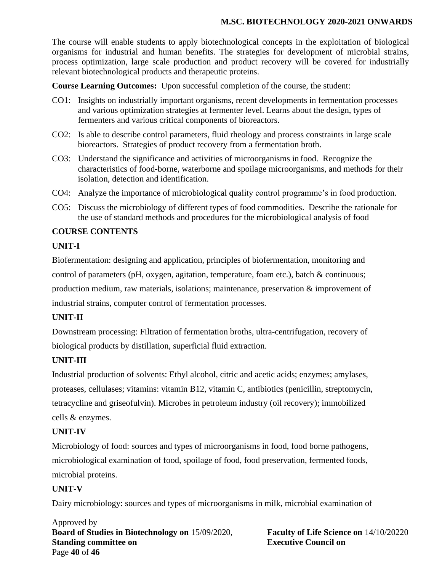The course will enable students to apply biotechnological concepts in the exploitation of biological organisms for industrial and human benefits. The strategies for development of microbial strains, process optimization, large scale production and product recovery will be covered for industrially relevant biotechnological products and therapeutic proteins.

**Course Learning Outcomes:** Upon successful completion of the course, the student:

- CO1: Insights on industrially important organisms, recent developments in fermentation processes and various optimization strategies at fermenter level. Learns about the design, types of fermenters and various critical components of bioreactors.
- CO2: Is able to describe control parameters, fluid rheology and process constraints in large scale bioreactors. Strategies of product recovery from a fermentation broth.
- CO3: Understand the significance and activities of microorganisms in food. Recognize the characteristics of food-borne, waterborne and spoilage microorganisms, and methods for their isolation, detection and identification.
- CO4: Analyze the importance of microbiological quality control programme's in food production.
- CO5: Discuss the microbiology of different types of food commodities. Describe the rationale for the use of standard methods and procedures for the microbiological analysis of food

### **COURSE CONTENTS**

### **UNIT-I**

Biofermentation: designing and application, principles of biofermentation, monitoring and control of parameters (pH, oxygen, agitation, temperature, foam etc.), batch & continuous; production medium, raw materials, isolations; maintenance, preservation & improvement of industrial strains, computer control of fermentation processes.

### **UNIT-II**

Downstream processing: Filtration of fermentation broths, ultra-centrifugation, recovery of biological products by distillation, superficial fluid extraction.

### **UNIT-III**

Industrial production of solvents: Ethyl alcohol, citric and acetic acids; enzymes; amylases, proteases, cellulases; vitamins: vitamin B12, vitamin C, antibiotics (penicillin, streptomycin, tetracycline and griseofulvin). Microbes in petroleum industry (oil recovery); immobilized cells & enzymes.

### **UNIT-IV**

Microbiology of food: sources and types of microorganisms in food, food borne pathogens, microbiological examination of food, spoilage of food, food preservation, fermented foods, microbial proteins.

### **UNIT-V**

Dairy microbiology: sources and types of microorganisms in milk, microbial examination of

Approved by **Board of Studies in Biotechnology on** 15/09/2020, **Faculty of Life Science on** 14/10/20220 **Standing committee on** <br>**Executive Council on** Page **40** of **46**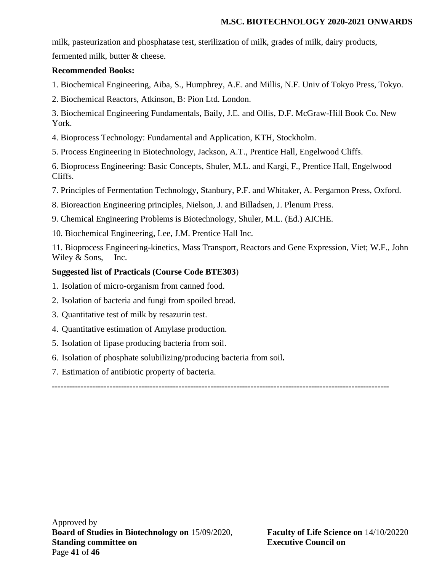milk, pasteurization and phosphatase test, sterilization of milk, grades of milk, dairy products, fermented milk, butter & cheese.

### **Recommended Books:**

1. Biochemical Engineering, Aiba, S., Humphrey, A.E. and Millis, N.F. Univ of Tokyo Press, Tokyo.

2. Biochemical Reactors, Atkinson, B: Pion Ltd. London.

3. Biochemical Engineering Fundamentals, Baily, J.E. and Ollis, D.F. McGraw-Hill Book Co. New York.

- 4. Bioprocess Technology: Fundamental and Application, KTH, Stockholm.
- 5. Process Engineering in Biotechnology, Jackson, A.T., Prentice Hall, Engelwood Cliffs.

6. Bioprocess Engineering: Basic Concepts, Shuler, M.L. and Kargi, F., Prentice Hall, Engelwood Cliffs.

7. Principles of Fermentation Technology, Stanbury, P.F. and Whitaker, A. Pergamon Press, Oxford.

8. Bioreaction Engineering principles, Nielson, J. and Billadsen, J. Plenum Press.

9. Chemical Engineering Problems is Biotechnology, Shuler, M.L. (Ed.) AICHE.

10. Biochemical Engineering, Lee, J.M. Prentice Hall Inc.

11. Bioprocess Engineering-kinetics, Mass Transport, Reactors and Gene Expression, Viet; W.F., John Wiley & Sons, Inc.

### **Suggested list of Practicals (Course Code BTE303**)

- 1. Isolation of micro-organism from canned food.
- 2. Isolation of bacteria and fungi from spoiled bread.
- 3. Quantitative test of milk by resazurin test.
- 4. Quantitative estimation of Amylase production.
- 5. Isolation of lipase producing bacteria from soil.
- 6. Isolation of phosphate solubilizing/producing bacteria from soil**.**
- 7. Estimation of antibiotic property of bacteria.

**---------------------------------------------------------------------------------------------------------------------**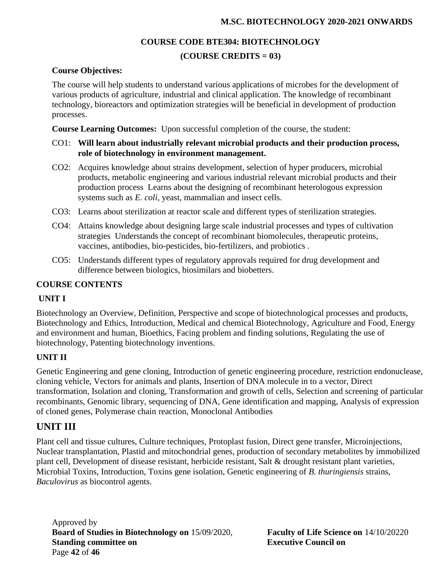### **COURSE CODE BTE304: BIOTECHNOLOGY**

### **(COURSE CREDITS = 03)**

### **Course Objectives:**

The course will help students to understand various applications of microbes for the development of various products of agriculture, industrial and clinical application. The knowledge of recombinant technology, bioreactors and optimization strategies will be beneficial in development of production processes.

**Course Learning Outcomes:** Upon successful completion of the course, the student:

- CO1: **Will learn about industrially relevant microbial products and their production process, role of biotechnology in environment management.**
- CO2: Acquires knowledge about strains development, selection of hyper producers, microbial products, metabolic engineering and various industrial relevant microbial products and their production process Learns about the designing of recombinant heterologous expression systems such as *E. coli*, yeast, mammalian and insect cells.
- CO3: Learns about sterilization at reactor scale and different types of sterilization strategies.
- CO4: Attains knowledge about designing large scale industrial processes and types of cultivation strategies Understands the concept of recombinant biomolecules, therapeutic proteins, vaccines, antibodies, bio-pesticides, bio-fertilizers, and probiotics .
- CO5: Understands different types of regulatory approvals required for drug development and difference between biologics, biosimilars and biobetters.

### **COURSE CONTENTS**

### **UNIT I**

Biotechnology an Overview, Definition, Perspective and scope of biotechnological processes and products, Biotechnology and Ethics, Introduction, Medical and chemical Biotechnology, Agriculture and Food, Energy and environment and human, Bioethics, Facing problem and finding solutions, Regulating the use of biotechnology, Patenting biotechnology inventions.

### **UNIT II**

Genetic Engineering and gene cloning, Introduction of genetic engineering procedure, restriction endonuclease, cloning vehicle, Vectors for animals and plants, Insertion of DNA molecule in to a vector, Direct transformation, Isolation and cloning, Transformation and growth of cells, Selection and screening of particular recombinants, Genomic library, sequencing of DNA, Gene identification and mapping, Analysis of expression of cloned genes, Polymerase chain reaction, Monoclonal Antibodies

## **UNIT III**

Plant cell and tissue cultures, Culture techniques, Protoplast fusion, Direct gene transfer, Microinjections, Nuclear transplantation, Plastid and mitochondrial genes, production of secondary metabolites by immobilized plant cell, Development of disease resistant, herbicide resistant, Salt & drought resistant plant varieties, Microbial Toxins, Introduction, Toxins gene isolation, Genetic engineering of *B. thuringiensis* strains, *Baculovirus* as biocontrol agents.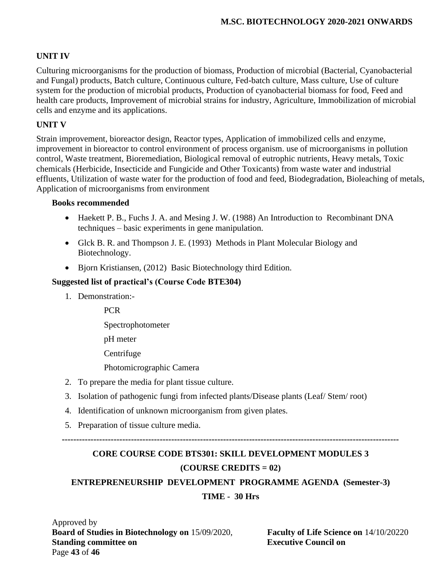### **UNIT IV**

Culturing microorganisms for the production of biomass, Production of microbial (Bacterial, Cyanobacterial and Fungal) products, Batch culture, Continuous culture, Fed-batch culture, Mass culture, Use of culture system for the production of microbial products, Production of cyanobacterial biomass for food, Feed and health care products, Improvement of microbial strains for industry, Agriculture, Immobilization of microbial cells and enzyme and its applications.

### **UNIT V**

Strain improvement, bioreactor design, Reactor types, Application of immobilized cells and enzyme, improvement in bioreactor to control environment of process organism. use of microorganisms in pollution control, Waste treatment, Bioremediation, Biological removal of eutrophic nutrients, Heavy metals, Toxic chemicals (Herbicide, Insecticide and Fungicide and Other Toxicants) from waste water and industrial effluents, Utilization of waste water for the production of food and feed, Biodegradation, Bioleaching of metals, Application of microorganisms from environment

### **Books recommended**

- Haekett P. B., Fuchs J. A. and Mesing J. W. (1988) An Introduction to Recombinant DNA techniques – basic experiments in gene manipulation.
- Glck B. R. and Thompson J. E. (1993) Methods in Plant Molecular Biology and Biotechnology.
- Bjorn Kristiansen, (2012) Basic Biotechnology third Edition.

### **Suggested list of practical's (Course Code BTE304)**

1. Demonstration:-

PCR

Spectrophotometer

pH meter

Centrifuge

Photomicrographic Camera

- 2. To prepare the media for plant tissue culture.
- 3. Isolation of pathogenic fungi from infected plants/Disease plants (Leaf/ Stem/ root)
- 4. Identification of unknown microorganism from given plates.
- 5. Preparation of tissue culture media.

**---------------------------------------------------------------------------------------------------------------------**

# **CORE COURSE CODE BTS301: SKILL DEVELOPMENT MODULES 3 (COURSE CREDITS = 02)**

### **ENTREPRENEURSHIP DEVELOPMENT PROGRAMME AGENDA (Semester-3)**

### **TIME - 30 Hrs**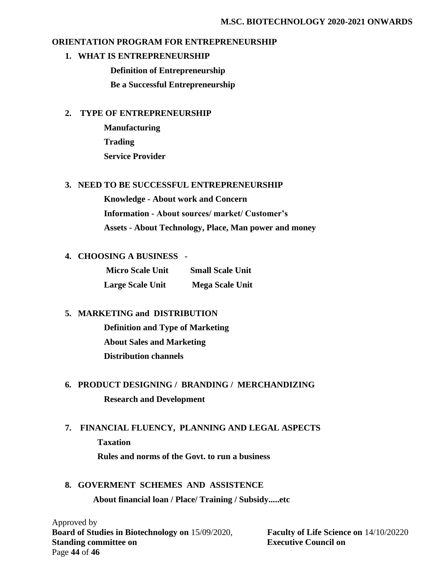### **ORIENTATION PROGRAM FOR ENTREPRENEURSHIP**

#### **1. WHAT IS ENTREPRENEURSHIP**

 **Definition of Entrepreneurship**

 **Be a Successful Entrepreneurship**

### **2. TYPE OF ENTREPRENEURSHIP**

 **Manufacturing Trading Service Provider**

### **3. NEED TO BE SUCCESSFUL ENTREPRENEURSHIP**

**Knowledge - About work and Concern Information - About sources/ market/ Customer's Assets - About Technology, Place, Man power and money**

### **4. CHOOSING A BUSINESS -**

**Micro Scale Unit Small Scale Unit Large Scale Unit Mega Scale Unit** 

### **5. MARKETING and DISTRIBUTION**

 **Definition and Type of Marketing About Sales and Marketing Distribution channels**

# **6. PRODUCT DESIGNING / BRANDING / MERCHANDIZING Research and Development**

### **7. FINANCIAL FLUENCY, PLANNING AND LEGAL ASPECTS**

 **Taxation**

 **Rules and norms of the Govt. to run a business**

### **8. GOVERMENT SCHEMES AND ASSISTENCE**

 **About financial loan / Place/ Training / Subsidy.....etc**

Approved by **Board of Studies in Biotechnology on** 15/09/2020, **Faculty of Life Science on** 14/10/20220 **Standing committee on Executive Council on Executive Council on** Page **44** of **46**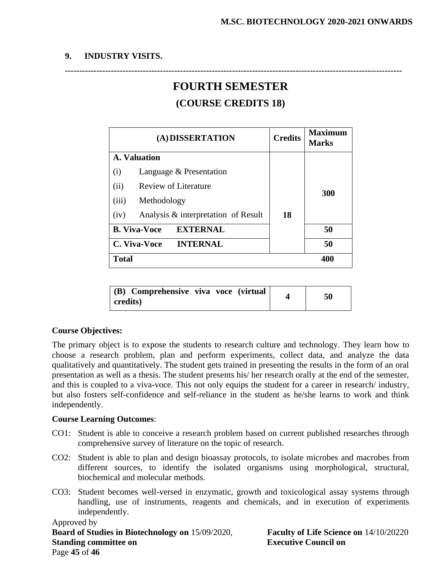### **9. INDUSTRY VISITS.**

# **FOURTH SEMESTER (COURSE CREDITS 18)**

**---------------------------------------------------------------------------------------------------------------------**

| (A) DISSERTATION                            | <b>Credits</b> | <b>Maximum</b><br><b>Marks</b> |
|---------------------------------------------|----------------|--------------------------------|
| <b>A. Valuation</b>                         |                |                                |
| Language & Presentation<br>(i)              |                |                                |
| (ii)<br>Review of Literature                |                |                                |
| (iii)<br>Methodology                        | 300            |                                |
| Analysis & interpretation of Result<br>(iv) | 18             |                                |
| <b>EXTERNAL</b><br><b>B. Viva-Voce</b>      |                | 50                             |
| <b>INTERNAL</b><br>C. Viva-Voce             |                | 50                             |
| <b>Total</b>                                |                | 400                            |

| (B) Comprehensive viva voce (virtual<br>credits) |  | 50 |
|--------------------------------------------------|--|----|
|                                                  |  |    |

### **Course Objectives:**

The primary object is to expose the students to research culture and technology. They learn how to choose a research problem, plan and perform experiments, collect data, and analyze the data qualitatively and quantitatively. The student gets trained in presenting the results in the form of an oral presentation as well as a thesis. The student presents his/ her research orally at the end of the semester, and this is coupled to a viva-voce. This not only equips the student for a career in research/ industry, but also fosters self-confidence and self-reliance in the student as he/she learns to work and think independently.

### **Course Learning Outcomes**:

- CO1: Student is able to conceive a research problem based on current published researches through comprehensive survey of literature on the topic of research.
- CO2: Student is able to plan and design bioassay protocols, to isolate microbes and macrobes from different sources, to identify the isolated organisms using morphological, structural, biochemical and molecular methods.
- CO3: Student becomes well-versed in enzymatic, growth and toxicological assay systems through handling, use of instruments, reagents and chemicals, and in execution of experiments independently.

### Approved by **Board of Studies in Biotechnology on** 15/09/2020, **Faculty of Life Science on** 14/10/20220 **Standing committee on Executive Council on** Page **45** of **46**